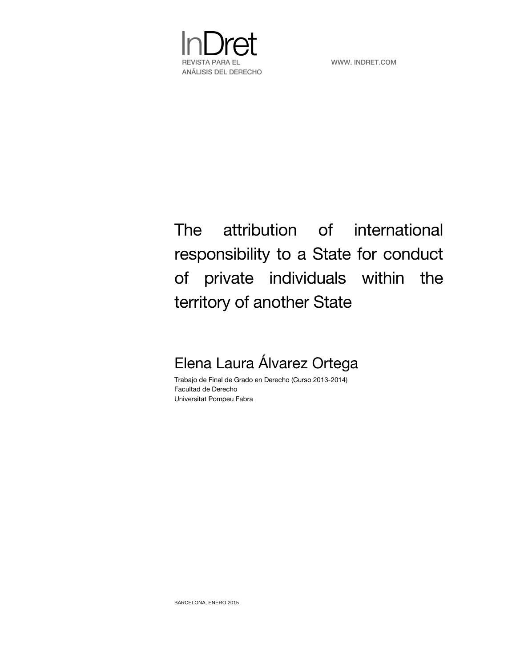

# The attribution of international responsibility to a State for conduct of private individuals within the territory of another State

# Elena Laura Álvarez Ortega

Trabajo de Final de Grado en Derecho (Curso 2013-2014) Facultad de Derecho Universitat Pompeu Fabra

BARCELONA, ENERO 2015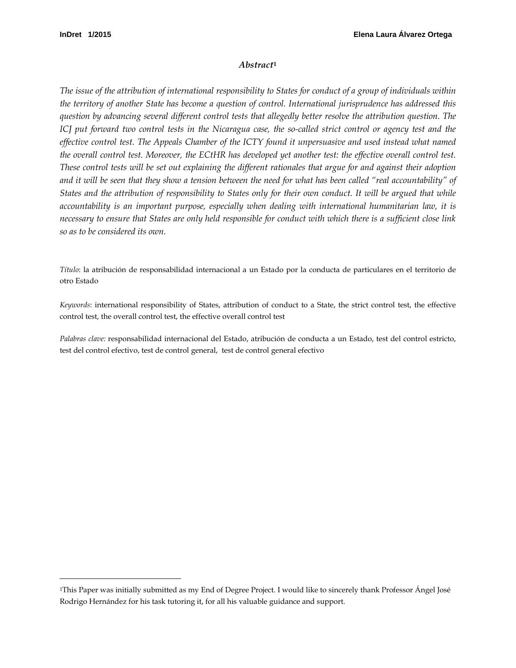$\ddot{ }$ 

#### *Abstract***[1](#page-1-0)**

*The issue of the attribution of international responsibility to States for conduct of a group of individuals within the territory of another State has become a question of control. International jurisprudence has addressed this question by advancing several different control tests that allegedly better resolve the attribution question. The ICJ put forward two control tests in the Nicaragua case, the so-called strict control or agency test and the effective control test. The Appeals Chamber of the ICTY found it unpersuasive and used instead what named the overall control test. Moreover, the ECtHR has developed yet another test: the effective overall control test. These control tests will be set out explaining the different rationales that argue for and against their adoption and it will be seen that they show a tension between the need for what has been called "real accountability" of States and the attribution of responsibility to States only for their own conduct. It will be argued that while accountability is an important purpose, especially when dealing with international humanitarian law, it is necessary to ensure that States are only held responsible for conduct with which there is a sufficient close link so as to be considered its own.*

*Título*: la atribución de responsabilidad internacional a un Estado por la conducta de particulares en el territorio de otro Estado

*Keywords*: international responsibility of States, attribution of conduct to a State, the strict control test, the effective control test, the overall control test, the effective overall control test

*Palabras clave:* responsabilidad internacional del Estado, atribución de conducta a un Estado, test del control estricto, test del control efectivo, test de control general, test de control general efectivo

<span id="page-1-0"></span><sup>1</sup>This Paper was initially submitted as my End of Degree Project. I would like to sincerely thank Professor Ángel José Rodrigo Hernández for his task tutoring it, for all his valuable guidance and support.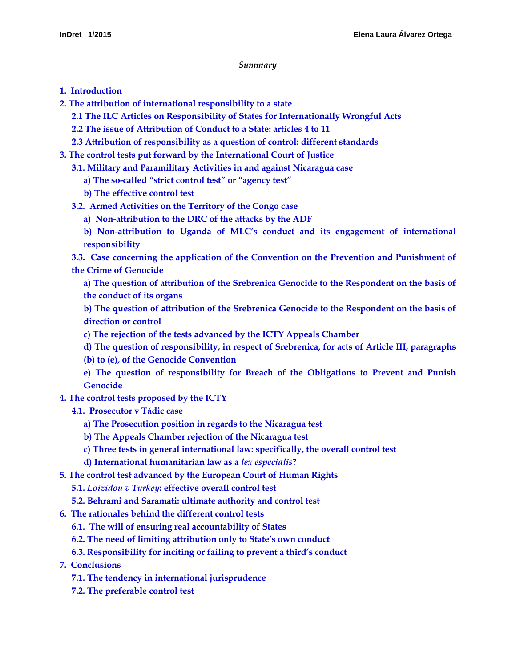#### *Summary*

- **[1. Introduction](#page-4-0)**
- **[2. The attribution of international responsibility to a state](#page-4-1)**
	- **2.1 The ILC [Articles on Responsibility of States for Internationally Wrongful](#page-5-0) Acts**
	- **2.2 The issue of [Attribution of Conduct to a State: articles 4 to 11](#page-7-0)**
	- **[2.3 Attribution of responsibility as a question of control: different standards](#page-10-0)**
- **[3. The control tests put forward by the International Court of Justice](#page-10-1)**
	- **[3.1. Military and Paramilitary Activities in and against Nicaragua case](#page-11-0)**
		- **[a\) The so-called "strict control test" or "agency test"](#page-11-1)**
		- **[b\) The effective control test](#page-13-0)**
	- **[3.2. Armed Activities on the Territory of the Congo case](#page-15-0)**
		- **[a\) Non-attribution to the DRC](#page-15-1) of the attacks by the ADF**
		- **[b\) Non-attribution to Uganda of MLC's conduct and its engagement of international](#page-16-0)  [responsibility](#page-16-0)**

**[3.3. Case concerning the application of the Convention on the Prevention and Punishment of](#page-17-0)  [the Crime of Genocide](#page-17-0)**

**[a\) The question of attribution of the Srebrenica Genocide to the Respondent on the basis of](#page-18-0)  [the conduct of its organs](#page-18-0)**

**[b\) The question of attribution of the Srebrenica Genocide to the Respondent on the basis of](#page-18-1)  [direction or control](#page-18-1)**

- **[c\) The rejection of the tests advanced by the ICTY Appeals Chamber](#page-19-0)**
- **d) The question of [responsibility, in respect of Srebrenica, for acts of Article III, paragraphs](#page-20-0)**
- **[\(b\) to \(e\), of the Genocide Convention](#page-20-0)**
- **[e\) The question of responsibility for Breach of the Obligations to Prevent and Punish](#page-21-0)  [Genocide](#page-21-0)**
- **[4. The control tests proposed by the ICTY](#page-23-0)**
	- **[4.1. Prosecutor v Tádic case](#page-23-1)**
		- **[a\) The Prosecution position in regards to the Nicaragua test](#page-24-0)**
		- **[b\) The Appeals Chamber rejection of the Nicaragua test](#page-26-0)**
		- **[c\) Three tests in general international law: specifically, the overall control test](#page-28-0)**
		- **[d\) International humanitarian law as a](#page-29-0)** *lex especialis***?**
- **[5. The control test advanced by the European Court of Human Rights](#page-31-0)**
	- **5.1.** *Loizidou v Turkey***[: effective overall control test](#page-31-1)**
	- **[5.2. Behrami and Saramati: ultimate authority and control test](#page-33-0)**
- **[6. The rationales behind the different control tests](#page-36-0)**
	- **[6.1. The will of ensuring real accountability of States](#page-36-1)**
	- **6.2. The need of limiting [attribution only to State's own conduct](#page-37-0)**
	- **[6.3. Responsibility for inciting or failing to prevent a third's conduct](#page-39-0)**
- **[7. Conclusions](#page-39-1)**
	- **[7.1. The tendency in international jurisprudence](#page-39-2)**
	- **[7.2. The preferable control test](#page-40-0)**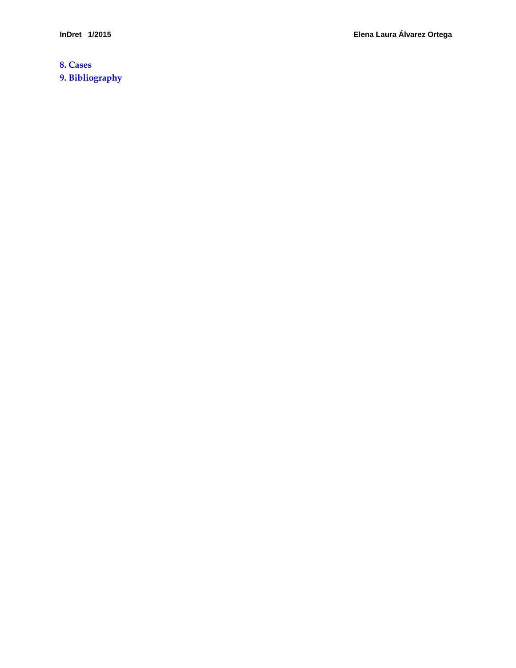**[8. Cases](#page-42-0) [9. Bibliography](#page-43-0)**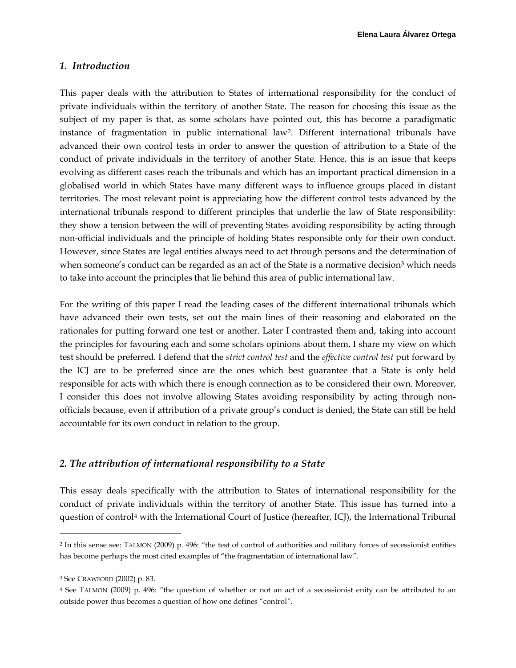#### <span id="page-4-0"></span>*1. Introduction*

This paper deals with the attribution to States of international responsibility for the conduct of private individuals within the territory of another State. The reason for choosing this issue as the subject of my paper is that, as some scholars have pointed out, this has become a paradigmatic instance of fragmentation in public international law[2](#page-4-2). Different international tribunals have advanced their own control tests in order to answer the question of attribution to a State of the conduct of private individuals in the territory of another State. Hence, this is an issue that keeps evolving as different cases reach the tribunals and which has an important practical dimension in a globalised world in which States have many different ways to influence groups placed in distant territories. The most relevant point is appreciating how the different control tests advanced by the international tribunals respond to different principles that underlie the law of State responsibility: they show a tension between the will of preventing States avoiding responsibility by acting through non-official individuals and the principle of holding States responsible only for their own conduct. However, since States are legal entities always need to act through persons and the determination of when someone's conduct can be regarded as an act of the State is a normative decision<sup>[3](#page-4-3)</sup> which needs to take into account the principles that lie behind this area of public international law.

For the writing of this paper I read the leading cases of the different international tribunals which have advanced their own tests, set out the main lines of their reasoning and elaborated on the rationales for putting forward one test or another. Later I contrasted them and, taking into account the principles for favouring each and some scholars opinions about them, I share my view on which test should be preferred. I defend that the *strict control test* and the *effective control test* put forward by the ICJ are to be preferred since are the ones which best guarantee that a State is only held responsible for acts with which there is enough connection as to be considered their own. Moreover, I consider this does not involve allowing States avoiding responsibility by acting through nonofficials because, even if attribution of a private group's conduct is denied, the State can still be held accountable for its own conduct in relation to the group.

# <span id="page-4-1"></span>*2. The attribution of international responsibility to a State*

This essay deals specifically with the attribution to States of international responsibility for the conduct of private individuals within the territory of another State. This issue has turned into a question of control[4](#page-4-4) with the International Court of Justice (hereafter, ICJ), the International Tribunal

<span id="page-4-2"></span><sup>2</sup> In this sense see: TALMON (2009) p. 496: *"*the test of control of authorities and military forces of secessionist entities has become perhaps the most cited examples of "the fragmentation of international law*".*

<span id="page-4-3"></span><sup>3</sup> See CRAWFORD (2002) p. 83.

<span id="page-4-4"></span><sup>4</sup> See TALMON (2009) p. 496: *"*the question of whether or not an act of a secessionist enity can be attributed to an outside power thus becomes a question of how one defines "control*".*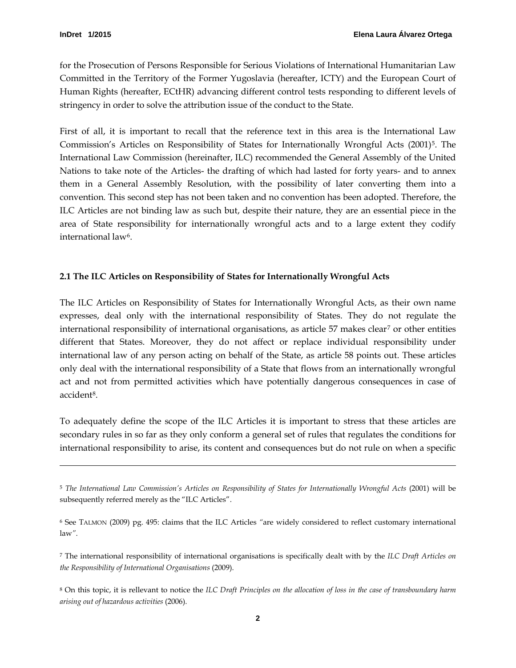$\overline{a}$ 

for the Prosecution of Persons Responsible for Serious Violations of International Humanitarian Law Committed in the Territory of the Former Yugoslavia (hereafter, ICTY) and the European Court of Human Rights (hereafter, ECtHR) advancing different control tests responding to different levels of stringency in order to solve the attribution issue of the conduct to the State.

First of all, it is important to recall that the reference text in this area is the International Law Commission's Articles on Responsibility of States for Internationally Wrongful Acts (2001)<sup>[5](#page-5-1)</sup>. The International Law Commission (hereinafter, ILC) recommended the General Assembly of the United Nations to take note of the Articles- the drafting of which had lasted for forty years- and to annex them in a General Assembly Resolution, with the possibility of later converting them into a convention. This second step has not been taken and no convention has been adopted. Therefore, the ILC Articles are not binding law as such but, despite their nature, they are an essential piece in the area of State responsibility for internationally wrongful acts and to a large extent they codify international law<sup>[6](#page-5-2)</sup>.

# <span id="page-5-0"></span>**2.1 The ILC Articles on Responsibility of States for Internationally Wrongful Acts**

The ILC Articles on Responsibility of States for Internationally Wrongful Acts, as their own name expresses, deal only with the international responsibility of States. They do not regulate the international responsibility of international organisations, as article  $57$  $57$  makes clear<sup>7</sup> or other entities different that States. Moreover, they do not affect or replace individual responsibility under international law of any person acting on behalf of the State, as article 58 points out. These articles only deal with the international responsibility of a State that flows from an internationally wrongful act and not from permitted activities which have potentially dangerous consequences in case of accident[8.](#page-5-4)

To adequately define the scope of the ILC Articles it is important to stress that these articles are secondary rules in so far as they only conform a general set of rules that regulates the conditions for international responsibility to arise, its content and consequences but do not rule on when a specific

<span id="page-5-1"></span><sup>5</sup> *The International Law Commission's Articles on Responsibility of States for Internationally Wrongful Acts* (2001) will be subsequently referred merely as the "ILC Articles".

<span id="page-5-2"></span><sup>6</sup> See TALMON (2009) pg. 495: claims that the ILC Articles *"*are widely considered to reflect customary international law*"*.

<span id="page-5-3"></span><sup>7</sup> The international responsibility of international organisations is specifically dealt with by the *ILC Draft Articles on the Responsibility of International Organisations* (2009).

<span id="page-5-4"></span><sup>8</sup> On this topic, it is rellevant to notice the *ILC Draft Principles on the allocation of loss in the case of transboundary harm arising out of hazardous activities* (2006).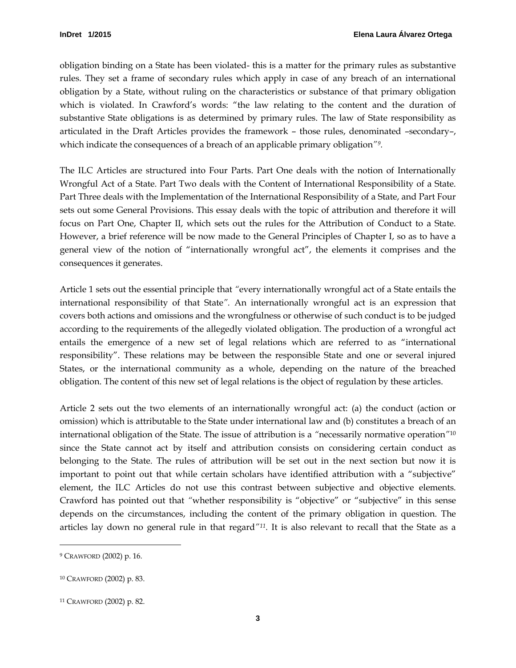obligation binding on a State has been violated- this is a matter for the primary rules as substantive rules. They set a frame of secondary rules which apply in case of any breach of an international obligation by a State, without ruling on the characteristics or substance of that primary obligation which is violated. In Crawford's words: "the law relating to the content and the duration of substantive State obligations is as determined by primary rules. The law of State responsibility as articulated in the Draft Articles provides the framework – those rules, denominated –secondary–, which indicate the consequences of a breach of an applicable primary obligation*"[9.](#page-6-0)*

The ILC Articles are structured into Four Parts. Part One deals with the notion of Internationally Wrongful Act of a State. Part Two deals with the Content of International Responsibility of a State. Part Three deals with the Implementation of the International Responsibility of a State, and Part Four sets out some General Provisions. This essay deals with the topic of attribution and therefore it will focus on Part One, Chapter II, which sets out the rules for the Attribution of Conduct to a State. However, a brief reference will be now made to the General Principles of Chapter I, so as to have a general view of the notion of "internationally wrongful act", the elements it comprises and the consequences it generates.

Article 1 sets out the essential principle that *"*every internationally wrongful act of a State entails the international responsibility of that State*".* An internationally wrongful act is an expression that covers both actions and omissions and the wrongfulness or otherwise of such conduct is to be judged according to the requirements of the allegedly violated obligation. The production of a wrongful act entails the emergence of a new set of legal relations which are referred to as "international responsibility". These relations may be between the responsible State and one or several injured States, or the international community as a whole, depending on the nature of the breached obligation. The content of this new set of legal relations is the object of regulation by these articles.

Article 2 sets out the two elements of an internationally wrongful act: (a) the conduct (action or omission) which is attributable to the State under international law and (b) constitutes a breach of an international obligation of the State. The issue of attribution is a *"*necessarily normative operation*"*[10](#page-6-1) since the State cannot act by itself and attribution consists on considering certain conduct as belonging to the State. The rules of attribution will be set out in the next section but now it is important to point out that while certain scholars have identified attribution with a "subjective" element, the ILC Articles do not use this contrast between subjective and objective elements. Crawford has pointed out that *"*whether responsibility is "objective" or "subjective" in this sense depends on the circumstances, including the content of the primary obligation in question. The articles lay down no general rule in that regard*["11](#page-6-2) .* It is also relevant to recall that the State as a

<span id="page-6-0"></span><sup>9</sup> CRAWFORD (2002) p. 16.

<span id="page-6-1"></span><sup>10</sup> CRAWFORD (2002) p. 83.

<span id="page-6-2"></span><sup>11</sup> CRAWFORD (2002) p. 82.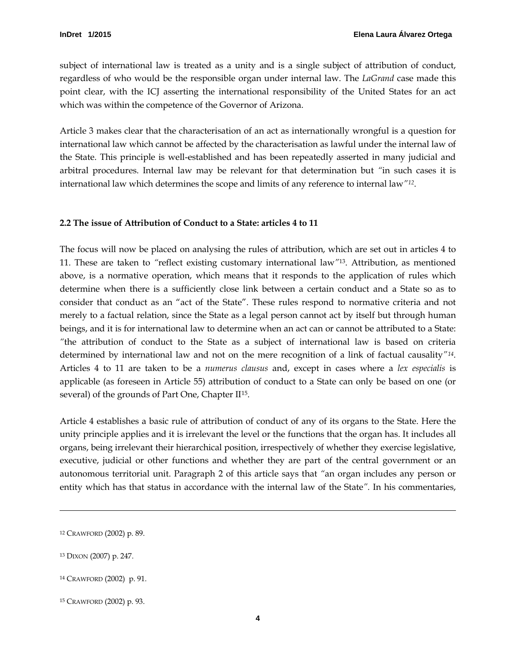subject of international law is treated as a unity and is a single subject of attribution of conduct, regardless of who would be the responsible organ under internal law. The *LaGrand* case made this point clear, with the ICJ asserting the international responsibility of the United States for an act which was within the competence of the Governor of Arizona.

Article 3 makes clear that the characterisation of an act as internationally wrongful is a question for international law which cannot be affected by the characterisation as lawful under the internal law of the State. This principle is well-established and has been repeatedly asserted in many judicial and arbitral procedures. Internal law may be relevant for that determination but *"*in such cases it is international law which determines the scope and limits of any reference to internal law*"[12](#page-7-1)*.

#### <span id="page-7-0"></span>**2.2 The issue of Attribution of Conduct to a State: articles 4 to 11**

The focus will now be placed on analysing the rules of attribution, which are set out in articles 4 to 11. These are taken to *"*reflect existing customary international law*"*[13.](#page-7-2) Attribution, as mentioned above, is a normative operation, which means that it responds to the application of rules which determine when there is a sufficiently close link between a certain conduct and a State so as to consider that conduct as an "act of the State". These rules respond to normative criteria and not merely to a factual relation, since the State as a legal person cannot act by itself but through human beings, and it is for international law to determine when an act can or cannot be attributed to a State: *"*the attribution of conduct to the State as a subject of international law is based on criteria determined by international law and not on the mere recognition of a link of factual causality*"[14.](#page-7-3)* Articles 4 to 11 are taken to be a *numerus clausus* and, except in cases where a *lex especialis* is applicable (as foreseen in Article 55) attribution of conduct to a State can only be based on one (or several) of the grounds of Part One, Chapter II<sup>15</sup>.

Article 4 establishes a basic rule of attribution of conduct of any of its organs to the State. Here the unity principle applies and it is irrelevant the level or the functions that the organ has. It includes all organs, being irrelevant their hierarchical position, irrespectively of whether they exercise legislative, executive, judicial or other functions and whether they are part of the central government or an autonomous territorial unit. Paragraph 2 of this article says that *"*an organ includes any person or entity which has that status in accordance with the internal law of the State*".* In his commentaries,

<span id="page-7-2"></span><sup>13</sup> DIXON (2007) p. 247.

<span id="page-7-1"></span><sup>12</sup> CRAWFORD (2002) p. 89.

<span id="page-7-3"></span><sup>14</sup> CRAWFORD (2002) p. 91.

<span id="page-7-4"></span><sup>15</sup> CRAWFORD (2002) p. 93.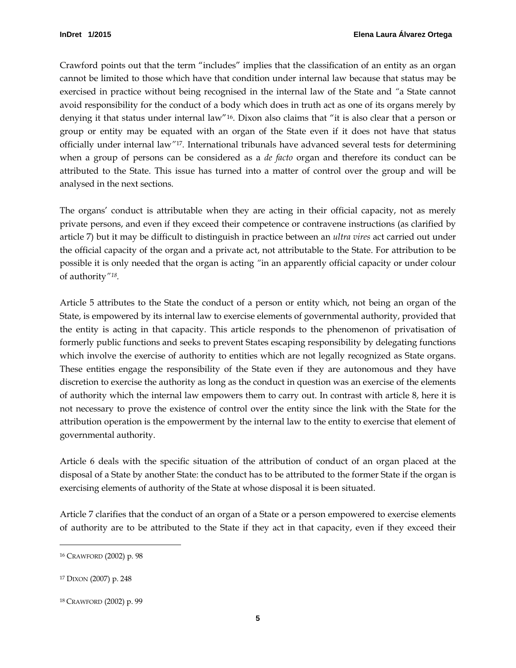Crawford points out that the term "includes" implies that the classification of an entity as an organ cannot be limited to those which have that condition under internal law because that status may be exercised in practice without being recognised in the internal law of the State and *"*a State cannot avoid responsibility for the conduct of a body which does in truth act as one of its organs merely by denying it that status under internal law["16](#page-8-0). Dixon also claims that "it is also clear that a person or group or entity may be equated with an organ of the State even if it does not have that status officially under internal law*"*[17](#page-8-1)*.* International tribunals have advanced several tests for determining when a group of persons can be considered as a *de facto* organ and therefore its conduct can be attributed to the State. This issue has turned into a matter of control over the group and will be analysed in the next sections.

The organs' conduct is attributable when they are acting in their official capacity, not as merely private persons, and even if they exceed their competence or contravene instructions (as clarified by article 7) but it may be difficult to distinguish in practice between an *ultra vires* act carried out under the official capacity of the organ and a private act, not attributable to the State. For attribution to be possible it is only needed that the organ is acting *"*in an apparently official capacity or under colour of authority*"[18.](#page-8-2)* 

Article 5 attributes to the State the conduct of a person or entity which, not being an organ of the State, is empowered by its internal law to exercise elements of governmental authority, provided that the entity is acting in that capacity. This article responds to the phenomenon of privatisation of formerly public functions and seeks to prevent States escaping responsibility by delegating functions which involve the exercise of authority to entities which are not legally recognized as State organs. These entities engage the responsibility of the State even if they are autonomous and they have discretion to exercise the authority as long as the conduct in question was an exercise of the elements of authority which the internal law empowers them to carry out. In contrast with article 8, here it is not necessary to prove the existence of control over the entity since the link with the State for the attribution operation is the empowerment by the internal law to the entity to exercise that element of governmental authority.

Article 6 deals with the specific situation of the attribution of conduct of an organ placed at the disposal of a State by another State: the conduct has to be attributed to the former State if the organ is exercising elements of authority of the State at whose disposal it is been situated.

Article 7 clarifies that the conduct of an organ of a State or a person empowered to exercise elements of authority are to be attributed to the State if they act in that capacity, even if they exceed their

<span id="page-8-0"></span><sup>16</sup> CRAWFORD (2002) p. 98

<span id="page-8-1"></span><sup>17</sup> DIXON (2007) p. 248

<span id="page-8-2"></span><sup>18</sup> CRAWFORD (2002) p. 99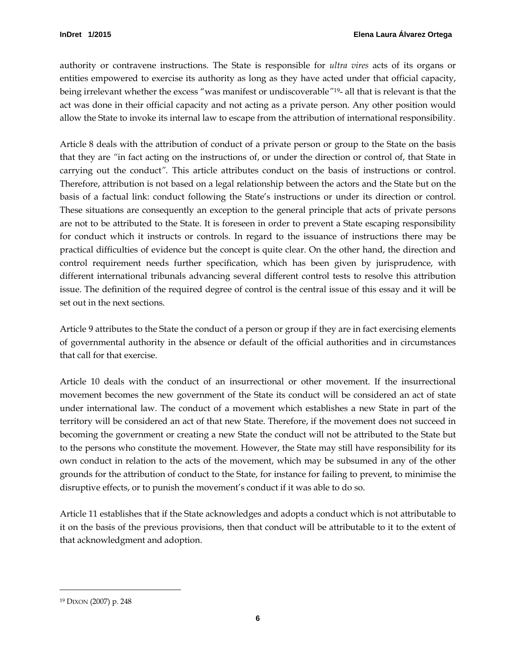authority or contravene instructions. The State is responsible for *ultra vires* acts of its organs or entities empowered to exercise its authority as long as they have acted under that official capacity, being irrelevant whether the excess "was manifest or undiscoverable*"*[19](#page-9-0)- all that is relevant is that the act was done in their official capacity and not acting as a private person. Any other position would allow the State to invoke its internal law to escape from the attribution of international responsibility.

Article 8 deals with the attribution of conduct of a private person or group to the State on the basis that they are *"*in fact acting on the instructions of, or under the direction or control of, that State in carrying out the conduct*".* This article attributes conduct on the basis of instructions or control. Therefore, attribution is not based on a legal relationship between the actors and the State but on the basis of a factual link: conduct following the State's instructions or under its direction or control. These situations are consequently an exception to the general principle that acts of private persons are not to be attributed to the State. It is foreseen in order to prevent a State escaping responsibility for conduct which it instructs or controls. In regard to the issuance of instructions there may be practical difficulties of evidence but the concept is quite clear. On the other hand, the direction and control requirement needs further specification, which has been given by jurisprudence, with different international tribunals advancing several different control tests to resolve this attribution issue. The definition of the required degree of control is the central issue of this essay and it will be set out in the next sections.

Article 9 attributes to the State the conduct of a person or group if they are in fact exercising elements of governmental authority in the absence or default of the official authorities and in circumstances that call for that exercise.

Article 10 deals with the conduct of an insurrectional or other movement. If the insurrectional movement becomes the new government of the State its conduct will be considered an act of state under international law. The conduct of a movement which establishes a new State in part of the territory will be considered an act of that new State. Therefore, if the movement does not succeed in becoming the government or creating a new State the conduct will not be attributed to the State but to the persons who constitute the movement. However, the State may still have responsibility for its own conduct in relation to the acts of the movement, which may be subsumed in any of the other grounds for the attribution of conduct to the State, for instance for failing to prevent, to minimise the disruptive effects, or to punish the movement's conduct if it was able to do so.

Article 11 establishes that if the State acknowledges and adopts a conduct which is not attributable to it on the basis of the previous provisions, then that conduct will be attributable to it to the extent of that acknowledgment and adoption.

<span id="page-9-0"></span><sup>19</sup> DIXON (2007) p. 248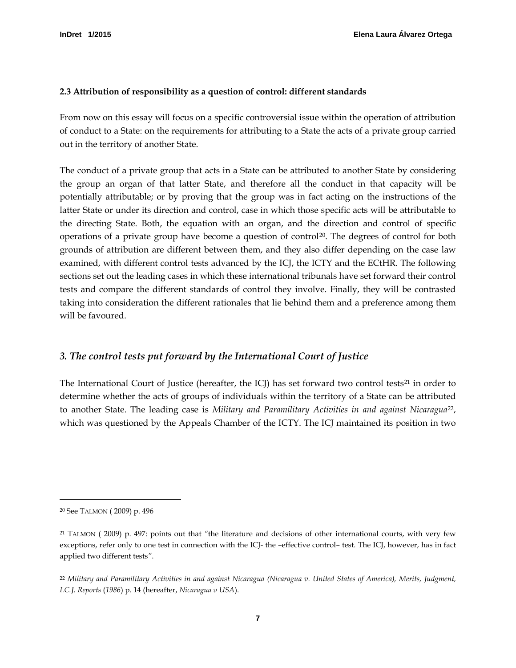#### <span id="page-10-0"></span>**2.3 Attribution of responsibility as a question of control: different standards**

From now on this essay will focus on a specific controversial issue within the operation of attribution of conduct to a State: on the requirements for attributing to a State the acts of a private group carried out in the territory of another State.

The conduct of a private group that acts in a State can be attributed to another State by considering the group an organ of that latter State, and therefore all the conduct in that capacity will be potentially attributable; or by proving that the group was in fact acting on the instructions of the latter State or under its direction and control, case in which those specific acts will be attributable to the directing State. Both, the equation with an organ, and the direction and control of specific operations of a private group have become a question of control<sup>[20](#page-10-2)</sup>. The degrees of control for both grounds of attribution are different between them, and they also differ depending on the case law examined, with different control tests advanced by the ICJ, the ICTY and the ECtHR. The following sections set out the leading cases in which these international tribunals have set forward their control tests and compare the different standards of control they involve. Finally, they will be contrasted taking into consideration the different rationales that lie behind them and a preference among them will be favoured.

#### <span id="page-10-1"></span>*3. The control tests put forward by the International Court of Justice*

The International Court of Justice (hereafter, the  $ICJ$ ) has set forward two control tests<sup>[21](#page-10-3)</sup> in order to determine whether the acts of groups of individuals within the territory of a State can be attributed to another State. The leading case is *Military and Paramilitary Activities in and against Nicaragua*[22](#page-10-4) , which was questioned by the Appeals Chamber of the ICTY. The ICJ maintained its position in two

<span id="page-10-2"></span><sup>20</sup> See TALMON ( 2009) p. 496

<span id="page-10-3"></span><sup>21</sup> TALMON ( 2009) p. 497: points out that *"*the literature and decisions of other international courts, with very few exceptions, refer only to one test in connection with the ICJ- the –effective control– test. The ICJ, however, has in fact applied two different tests*"*.

<span id="page-10-4"></span><sup>22</sup> *Military and Paramilitary Activities in and against Nicaragua (Nicaragua v. United States of America), Merits, Judgment, I.C.J. Reports* (*1986*) p. 14 (hereafter, *Nicaragua v USA*).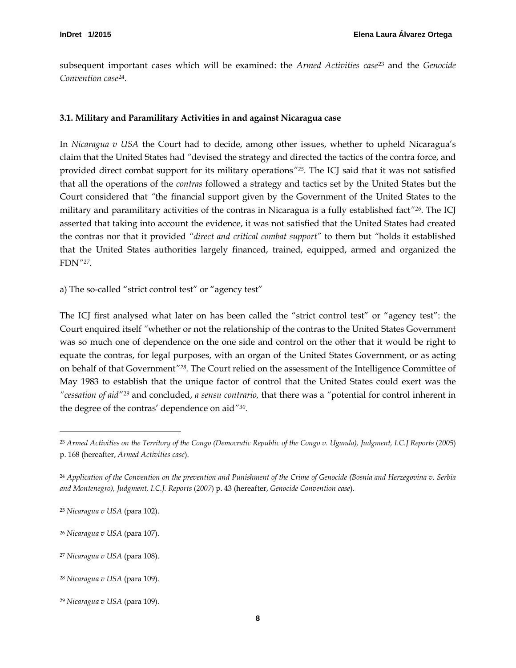subsequent important cases which will be examined: the *Armed Activities case*[23](#page-11-2) and the *Genocide Convention case*[24.](#page-11-3)

# <span id="page-11-0"></span>**3.1. Military and Paramilitary Activities in and against Nicaragua case**

In *Nicaragua v USA* the Court had to decide, among other issues, whether to upheld Nicaragua's claim that the United States had *"*devised the strategy and directed the tactics of the contra force, and provided direct combat support for its military operations*"[25.](#page-11-4)* The ICJ said that it was not satisfied that all the operations of the *contras* followed a strategy and tactics set by the United States but the Court considered that *"*the financial support given by the Government of the United States to the military and paramilitary activities of the contras in Nicaragua is a fully established fact*"[26](#page-11-5)*. The ICJ asserted that taking into account the evidence, it was not satisfied that the United States had created the contras nor that it provided *"direct and critical combat support"* to them but *"*holds it established that the United States authorities largely financed, trained, equipped, armed and organized the FDN*["27](#page-11-6)*.

<span id="page-11-1"></span>a) The so-called "strict control test" or "agency test"

The ICJ first analysed what later on has been called the "strict control test" or "agency test": the Court enquired itself *"*whether or not the relationship of the contras to the United States Government was so much one of dependence on the one side and control on the other that it would be right to equate the contras, for legal purposes, with an organ of the United States Government, or as acting on behalf of that Government*"[28](#page-11-7).* The Court relied on the assessment of the Intelligence Committee of May 1983 to establish that the unique factor of control that the United States could exert was the *"cessation of aid"[29](#page-11-8)* and concluded, *a sensu contrario,* that there was a *"*potential for control inherent in the degree of the contras' dependence on aid*"[30](#page-11-2) .* 

<span id="page-11-2"></span><sup>23</sup> *Armed Activities on the Territory of the Congo (Democratic Republic of the Congo v. Uganda), Judgment, I.C.J Reports* (*2005*) p. 168 (hereafter, *Armed Activities case*).

<span id="page-11-3"></span><sup>24</sup> *Application of the Convention on the prevention and Punishment of the Crime of Genocide (Bosnia and Herzegovina v. Serbia and Montenegro), Judgment, I.C.J. Reports* (*2007*) p. 43 (hereafter, *Genocide Convention case*).

<span id="page-11-4"></span><sup>25</sup> *Nicaragua v USA* (para 102).

<span id="page-11-5"></span><sup>26</sup> *Nicaragua v USA* (para 107).

<span id="page-11-6"></span><sup>27</sup> *Nicaragua v USA* (para 108).

<span id="page-11-7"></span><sup>28</sup> *Nicaragua v USA* (para 109).

<span id="page-11-8"></span><sup>29</sup> *Nicaragua v USA* (para 109).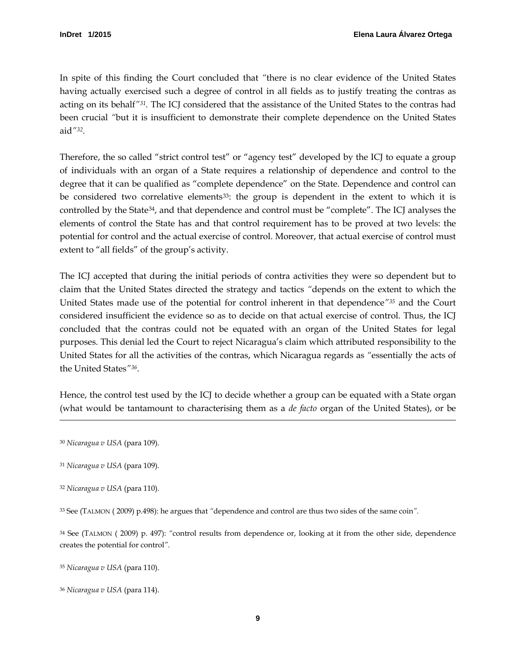In spite of this finding the Court concluded that *"*there is no clear evidence of the United States having actually exercised such a degree of control in all fields as to justify treating the contras as acting on its behalf*"[31](#page-12-0).* The ICJ considered that the assistance of the United States to the contras had been crucial *"*but it is insufficient to demonstrate their complete dependence on the United States aid*"[32](#page-12-1).*

Therefore, the so called "strict control test" or "agency test" developed by the ICJ to equate a group of individuals with an organ of a State requires a relationship of dependence and control to the degree that it can be qualified as "complete dependence" on the State. Dependence and control can be considered two correlative elements<sup>33</sup>: the group is dependent in the extent to which it is controlled by the State<sup>34</sup>, and that dependence and control must be "complete". The ICJ analyses the elements of control the State has and that control requirement has to be proved at two levels: the potential for control and the actual exercise of control. Moreover, that actual exercise of control must extent to "all fields" of the group's activity.

The ICJ accepted that during the initial periods of contra activities they were so dependent but to claim that the United States directed the strategy and tactics *"*depends on the extent to which the United States made use of the potential for control inherent in that dependence*"[35](#page-12-4)* and the Court considered insufficient the evidence so as to decide on that actual exercise of control. Thus, the ICJ concluded that the contras could not be equated with an organ of the United States for legal purposes. This denial led the Court to reject Nicaragua's claim which attributed responsibility to the United States for all the activities of the contras, which Nicaragua regards as *"*essentially the acts of the United States*"[36](#page-12-5)*.

Hence, the control test used by the ICJ to decide whether a group can be equated with a State organ (what would be tantamount to characterising them as a *de facto* organ of the United States), or be

<sup>30</sup> *Nicaragua v USA* (para 109).

 $\ddot{ }$ 

<span id="page-12-2"></span><sup>33</sup> See (TALMON ( 2009) p.498): he argues that *"*dependence and control are thus two sides of the same coin*".*

<span id="page-12-3"></span><sup>34</sup> See (TALMON ( 2009) p. 497): *"*control results from dependence or, looking at it from the other side, dependence creates the potential for control*".*

<span id="page-12-4"></span><sup>35</sup> *Nicaragua v USA* (para 110).

<span id="page-12-0"></span><sup>31</sup> *Nicaragua v USA* (para 109).

<span id="page-12-1"></span><sup>32</sup> *Nicaragua v USA* (para 110).

<span id="page-12-5"></span><sup>36</sup> *Nicaragua v USA* (para 114).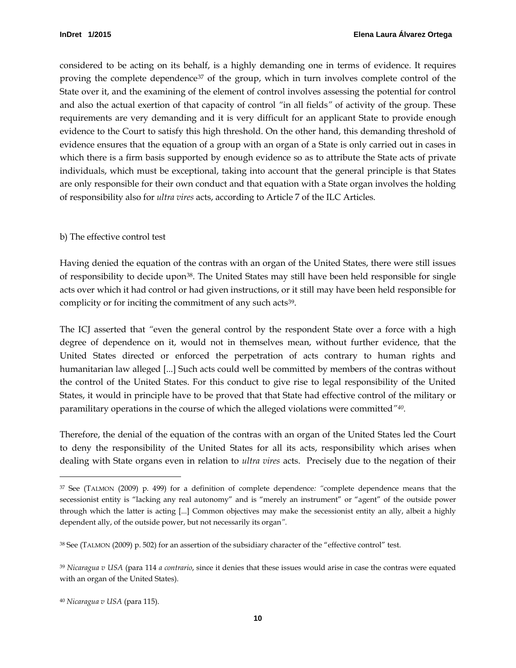considered to be acting on its behalf, is a highly demanding one in terms of evidence. It requires proving the complete dependence<sup>[37](#page-13-1)</sup> of the group, which in turn involves complete control of the State over it, and the examining of the element of control involves assessing the potential for control and also the actual exertion of that capacity of control *"*in all fields*"* of activity of the group. These requirements are very demanding and it is very difficult for an applicant State to provide enough evidence to the Court to satisfy this high threshold. On the other hand, this demanding threshold of evidence ensures that the equation of a group with an organ of a State is only carried out in cases in which there is a firm basis supported by enough evidence so as to attribute the State acts of private individuals, which must be exceptional, taking into account that the general principle is that States are only responsible for their own conduct and that equation with a State organ involves the holding of responsibility also for *ultra vires* acts, according to Article 7 of the ILC Articles.

#### <span id="page-13-0"></span>b) The effective control test

Having denied the equation of the contras with an organ of the United States, there were still issues of responsibility to decide upon[38.](#page-13-2) The United States may still have been held responsible for single acts over which it had control or had given instructions, or it still may have been held responsible for complicity or for inciting the commitment of any such acts<sup>[39](#page-13-3)</sup>.

The ICJ asserted that *"*even the general control by the respondent State over a force with a high degree of dependence on it, would not in themselves mean, without further evidence, that the United States directed or enforced the perpetration of acts contrary to human rights and humanitarian law alleged [...] Such acts could well be committed by members of the contras without the control of the United States. For this conduct to give rise to legal responsibility of the United States, it would in principle have to be proved that that State had effective control of the military or paramilitary operations in the course of which the alleged violations were committed*"[40](#page-13-4).*

Therefore, the denial of the equation of the contras with an organ of the United States led the Court to deny the responsibility of the United States for all its acts, responsibility which arises when dealing with State organs even in relation to *ultra vires* acts. Precisely due to the negation of their

<span id="page-13-1"></span><sup>37</sup> See (TALMON (2009) p. 499) for a definition of complete dependence*: "*complete dependence means that the secessionist entity is "lacking any real autonomy" and is "merely an instrument" or "agent" of the outside power through which the latter is acting [...] Common objectives may make the secessionist entity an ally, albeit a highly dependent ally, of the outside power, but not necessarily its organ*".*

<span id="page-13-2"></span><sup>38</sup> See (TALMON (2009) p. 502) for an assertion of the subsidiary character of the "effective control" test.

<span id="page-13-3"></span><sup>39</sup> *Nicaragua v USA* (para 114 *a contrario*, since it denies that these issues would arise in case the contras were equated with an organ of the United States).

<span id="page-13-4"></span><sup>40</sup> *Nicaragua v USA* (para 115).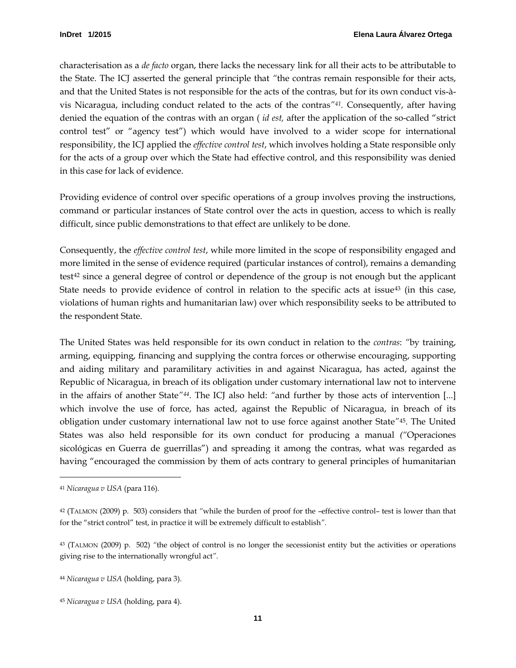characterisation as a *de facto* organ, there lacks the necessary link for all their acts to be attributable to the State. The ICJ asserted the general principle that *"*the contras remain responsible for their acts, and that the United States is not responsible for the acts of the contras, but for its own conduct vis-àvis Nicaragua, including conduct related to the acts of the contras*"[41.](#page-14-0)* Consequently, after having denied the equation of the contras with an organ ( *id est,* after the application of the so-called "strict control test" or "agency test") which would have involved to a wider scope for international responsibility, the ICJ applied the *effective control test*, which involves holding a State responsible only for the acts of a group over which the State had effective control, and this responsibility was denied in this case for lack of evidence.

Providing evidence of control over specific operations of a group involves proving the instructions, command or particular instances of State control over the acts in question, access to which is really difficult, since public demonstrations to that effect are unlikely to be done.

Consequently, the *effective control test*, while more limited in the scope of responsibility engaged and more limited in the sense of evidence required (particular instances of control), remains a demanding test[42](#page-14-1) since a general degree of control or dependence of the group is not enough but the applicant State needs to provide evidence of control in relation to the specific acts at issue<sup>43</sup> (in this case, violations of human rights and humanitarian law) over which responsibility seeks to be attributed to the respondent State.

The United States was held responsible for its own conduct in relation to the *contras*: *"*by training, arming, equipping, financing and supplying the contra forces or otherwise encouraging, supporting and aiding military and paramilitary activities in and against Nicaragua, has acted, against the Republic of Nicaragua, in breach of its obligation under customary international law not to intervene in the affairs of another State*"[44](#page-14-3)*. The ICJ also held: *"*and further by those acts of intervention [...] which involve the use of force, has acted, against the Republic of Nicaragua, in breach of its obligation under customary international law not to use force against another State*"*[45](#page-14-4) . The United States was also held responsible for its own conduct for producing a manual *("*Operaciones sicológicas en Guerra de guerrillas") and spreading it among the contras, what was regarded as having "encouraged the commission by them of acts contrary to general principles of humanitarian

<span id="page-14-0"></span><sup>41</sup> *Nicaragua v USA* (para 116).

<span id="page-14-1"></span><sup>42</sup> (TALMON (2009) p. 503) considers that *"*while the burden of proof for the –effective control– test is lower than that for the "strict control" test, in practice it will be extremely difficult to establish*".* 

<span id="page-14-2"></span><sup>43</sup> (TALMON (2009) p. 502) *"*the object of control is no longer the secessionist entity but the activities or operations giving rise to the internationally wrongful act*".*

<span id="page-14-3"></span><sup>44</sup> *Nicaragua v USA* (holding, para 3).

<span id="page-14-4"></span><sup>45</sup> *Nicaragua v USA* (holding, para 4).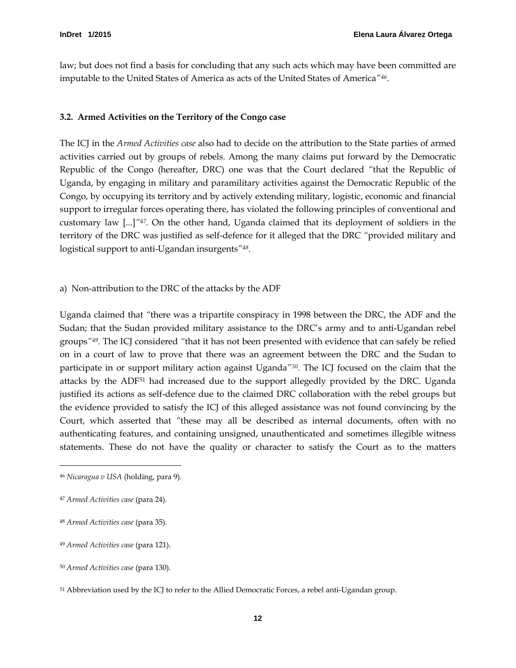law; but does not find a basis for concluding that any such acts which may have been committed are imputable to the United States of America as acts of the United States of America*"[46](#page-15-2)*.

#### <span id="page-15-0"></span>**3.2. Armed Activities on the Territory of the Congo case**

The ICJ in the *Armed Activities case* also had to decide on the attribution to the State parties of armed activities carried out by groups of rebels. Among the many claims put forward by the Democratic Republic of the Congo (hereafter, DRC) one was that the Court declared *"*that the Republic of Uganda, by engaging in military and paramilitary activities against the Democratic Republic of the Congo, by occupying its territory and by actively extending military, logistic, economic and financial support to irregular forces operating there, has violated the following principles of conventional and customary law [...]*["47](#page-15-3).* On the other hand, Uganda claimed that its deployment of soldiers in the territory of the DRC was justified as self-defence for it alleged that the DRC *"*provided military and logistical support to anti-Ugandan insurgents*"[48.](#page-15-4)*

<span id="page-15-1"></span>a) Non-attribution to the DRC of the attacks by the ADF

Uganda claimed that *"*there was a tripartite conspiracy in 1998 between the DRC, the ADF and the Sudan; that the Sudan provided military assistance to the DRC's army and to anti-Ugandan rebel groups*["49](#page-15-5).* The ICJ considered *"*that it has not been presented with evidence that can safely be relied on in a court of law to prove that there was an agreement between the DRC and the Sudan to participate in or support military action against Uganda*"[50.](#page-15-6)* The ICJ focused on the claim that the attacks by the ADF<sup>[51](#page-15-7)</sup> had increased due to the support allegedly provided by the DRC. Uganda justified its actions as self-defence due to the claimed DRC collaboration with the rebel groups but the evidence provided to satisfy the ICJ of this alleged assistance was not found convincing by the Court, which asserted that *"*these may all be described as internal documents, often with no authenticating features, and containing unsigned, unauthenticated and sometimes illegible witness statements. These do not have the quality or character to satisfy the Court as to the matters

<span id="page-15-2"></span><sup>46</sup> *Nicaragua v USA* (holding, para 9).

<span id="page-15-3"></span><sup>47</sup> *Armed Activities case* (para 24).

<span id="page-15-4"></span><sup>48</sup> *Armed Activities case* (para 35).

<span id="page-15-5"></span><sup>49</sup> *Armed Activities case* (para 121).

<span id="page-15-6"></span><sup>50</sup> *Armed Activities case* (para 130).

<span id="page-15-7"></span><sup>51</sup> Abbreviation used by the ICJ to refer to the Allied Democratic Forces, a rebel anti-Ugandan group.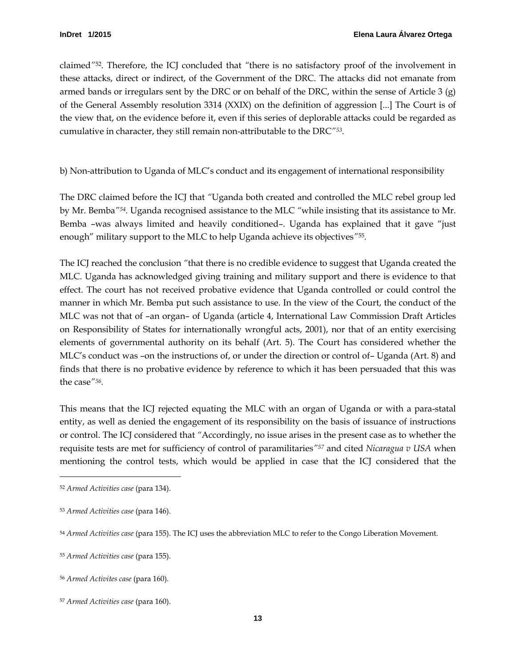claimed*"*[52](#page-16-1)*.* Therefore, the ICJ concluded that *"*there is no satisfactory proof of the involvement in these attacks, direct or indirect, of the Government of the DRC. The attacks did not emanate from armed bands or irregulars sent by the DRC or on behalf of the DRC, within the sense of Article 3 (g) of the General Assembly resolution 3314 (XXIX) on the definition of aggression [...] The Court is of the view that, on the evidence before it, even if this series of deplorable attacks could be regarded as cumulative in character, they still remain non-attributable to the DRC*"[53](#page-16-2).*

<span id="page-16-0"></span>b) Non-attribution to Uganda of MLC's conduct and its engagement of international responsibility

The DRC claimed before the ICJ that *"*Uganda both created and controlled the MLC rebel group led by Mr. Bemba*"[54](#page-16-3).* Uganda recognised assistance to the MLC *"*while insisting that its assistance to Mr. Bemba –was always limited and heavily conditioned–. Uganda has explained that it gave "just enough" military support to the MLC to help Uganda achieve its objectives*"*[55](#page-16-4)*.* 

The ICJ reached the conclusion *"*that there is no credible evidence to suggest that Uganda created the MLC. Uganda has acknowledged giving training and military support and there is evidence to that effect. The court has not received probative evidence that Uganda controlled or could control the manner in which Mr. Bemba put such assistance to use. In the view of the Court, the conduct of the MLC was not that of –an organ– of Uganda (article 4, International Law Commission Draft Articles on Responsibility of States for internationally wrongful acts, 2001), nor that of an entity exercising elements of governmental authority on its behalf (Art. 5). The Court has considered whether the MLC's conduct was –on the instructions of, or under the direction or control of– Uganda (Art. 8) and finds that there is no probative evidence by reference to which it has been persuaded that this was the case*"[56](#page-16-5).* 

This means that the ICJ rejected equating the MLC with an organ of Uganda or with a para-statal entity, as well as denied the engagement of its responsibility on the basis of issuance of instructions or control. The ICJ considered that *"*Accordingly, no issue arises in the present case as to whether the requisite tests are met for sufficiency of control of paramilitaries*"[57](#page-16-6)* and cited *Nicaragua v USA* when mentioning the control tests, which would be applied in case that the ICJ considered that the

<span id="page-16-1"></span><sup>52</sup> *Armed Activities case* (para 134).

<span id="page-16-2"></span><sup>53</sup> *Armed Activities case* (para 146).

<span id="page-16-3"></span><sup>54</sup> *Armed Activities case* (para 155). The ICJ uses the abbreviation MLC to refer to the Congo Liberation Movement.

<span id="page-16-4"></span><sup>55</sup> *Armed Activities case* (para 155).

<span id="page-16-5"></span><sup>56</sup> *Armed Activites case* (para 160).

<span id="page-16-6"></span><sup>57</sup> *Armed Activities case* (para 160).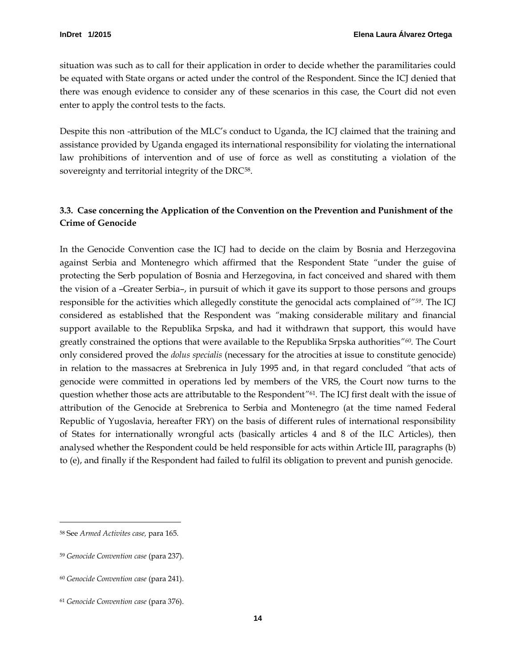situation was such as to call for their application in order to decide whether the paramilitaries could be equated with State organs or acted under the control of the Respondent. Since the ICJ denied that there was enough evidence to consider any of these scenarios in this case, the Court did not even enter to apply the control tests to the facts.

Despite this non -attribution of the MLC's conduct to Uganda, the ICJ claimed that the training and assistance provided by Uganda engaged its international responsibility for violating the international law prohibitions of intervention and of use of force as well as constituting a violation of the sovereignty and territorial integrity of the DRC<sup>[58](#page-17-1)</sup>.

# <span id="page-17-0"></span>**3.3. Case concerning the Application of the Convention on the Prevention and Punishment of the Crime of Genocide**

In the Genocide Convention case the ICJ had to decide on the claim by Bosnia and Herzegovina against Serbia and Montenegro which affirmed that the Respondent State *"*under the guise of protecting the Serb population of Bosnia and Herzegovina, in fact conceived and shared with them the vision of a –Greater Serbia–, in pursuit of which it gave its support to those persons and groups responsible for the activities which allegedly constitute the genocidal acts complained of*"[59](#page-17-2).* The ICJ considered as established that the Respondent was *"*making considerable military and financial support available to the Republika Srpska, and had it withdrawn that support, this would have greatly constrained the options that were available to the Republika Srpska authorities*"[60.](#page-17-3)* The Court only considered proved the *dolus specialis* (necessary for the atrocities at issue to constitute genocide) in relation to the massacres at Srebrenica in July 1995 and, in that regard concluded *"*that acts of genocide were committed in operations led by members of the VRS, the Court now turns to the question whether those acts are attributable to the Respondent*"*[61](#page-17-4)*.* The ICJ first dealt with the issue of attribution of the Genocide at Srebrenica to Serbia and Montenegro (at the time named Federal Republic of Yugoslavia, hereafter FRY) on the basis of different rules of international responsibility of States for internationally wrongful acts (basically articles 4 and 8 of the ILC Articles), then analysed whether the Respondent could be held responsible for acts within Article III, paragraphs (b) to (e), and finally if the Respondent had failed to fulfil its obligation to prevent and punish genocide.

<span id="page-17-1"></span><sup>58</sup> See *Armed Activites case,* para 165.

<span id="page-17-2"></span><sup>59</sup> *Genocide Convention case* (para 237).

<span id="page-17-3"></span><sup>60</sup> *Genocide Convention case* (para 241).

<span id="page-17-4"></span><sup>61</sup> *Genocide Convention case* (para 376).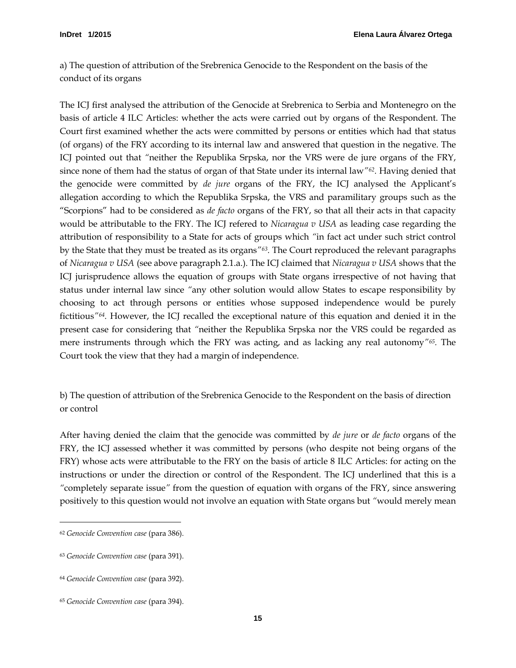<span id="page-18-0"></span>a) The question of attribution of the Srebrenica Genocide to the Respondent on the basis of the conduct of its organs

The ICJ first analysed the attribution of the Genocide at Srebrenica to Serbia and Montenegro on the basis of article 4 ILC Articles: whether the acts were carried out by organs of the Respondent. The Court first examined whether the acts were committed by persons or entities which had that status (of organs) of the FRY according to its internal law and answered that question in the negative. The ICJ pointed out that *"*neither the Republika Srpska, nor the VRS were de jure organs of the FRY, since none of them had the status of organ of that State under its internal law*"[62.](#page-18-2)* Having denied that the genocide were committed by *de jure* organs of the FRY, the ICJ analysed the Applicant's allegation according to which the Republika Srpska, the VRS and paramilitary groups such as the "Scorpions" had to be considered as *de facto* organs of the FRY, so that all their acts in that capacity would be attributable to the FRY. The ICJ refered to *Nicaragua v USA* as leading case regarding the attribution of responsibility to a State for acts of groups which *"*in fact act under such strict control by the State that they must be treated as its organs*"[63.](#page-18-3)* The Court reproduced the relevant paragraphs of *Nicaragua v USA* (see above paragraph 2.1.a.). The ICJ claimed that *Nicaragua v USA* shows that the ICJ jurisprudence allows the equation of groups with State organs irrespective of not having that status under internal law since *"*any other solution would allow States to escape responsibility by choosing to act through persons or entities whose supposed independence would be purely fictitious*["64](#page-18-4).* However, the ICJ recalled the exceptional nature of this equation and denied it in the present case for considering that *"*neither the Republika Srpska nor the VRS could be regarded as mere instruments through which the FRY was acting, and as lacking any real autonomy*"[65](#page-18-5).* The Court took the view that they had a margin of independence.

<span id="page-18-1"></span>b) The question of attribution of the Srebrenica Genocide to the Respondent on the basis of direction or control

After having denied the claim that the genocide was committed by *de jure* or *de facto* organs of the FRY, the ICJ assessed whether it was committed by persons (who despite not being organs of the FRY) whose acts were attributable to the FRY on the basis of article 8 ILC Articles: for acting on the instructions or under the direction or control of the Respondent. The ICJ underlined that this is a *"*completely separate issue*"* from the question of equation with organs of the FRY, since answering positively to this question would not involve an equation with State organs but *"*would merely mean

<span id="page-18-2"></span><sup>62</sup> *Genocide Convention case* (para 386).

<span id="page-18-3"></span><sup>63</sup> *Genocide Convention case* (para 391).

<span id="page-18-4"></span><sup>64</sup> *Genocide Convention case* (para 392).

<span id="page-18-5"></span><sup>65</sup> *Genocide Convention case* (para 394).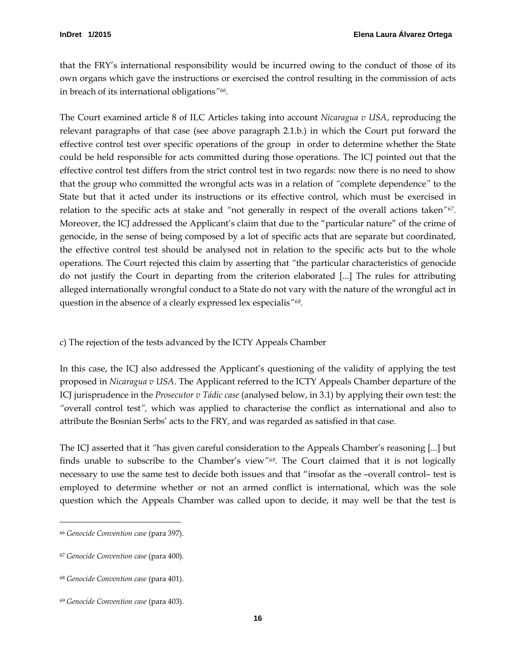that the FRY's international responsibility would be incurred owing to the conduct of those of its own organs which gave the instructions or exercised the control resulting in the commission of acts in breach of its international obligations*"[66](#page-19-1).* 

The Court examined article 8 of ILC Articles taking into account *Nicaragua v USA*, reproducing the relevant paragraphs of that case (see above paragraph 2.1.b.) in which the Court put forward the effective control test over specific operations of the group in order to determine whether the State could be held responsible for acts committed during those operations. The ICJ pointed out that the effective control test differs from the strict control test in two regards: now there is no need to show that the group who committed the wrongful acts was in a relation of *"*complete dependence*"* to the State but that it acted under its instructions or its effective control, which must be exercised in relation to the specific acts at stake and *"*not generally in respect of the overall actions taken*"[67.](#page-19-2)*  Moreover, the ICJ addressed the Applicant's claim that due to the "particular nature" of the crime of genocide, in the sense of being composed by a lot of specific acts that are separate but coordinated, the effective control test should be analysed not in relation to the specific acts but to the whole operations. The Court rejected this claim by asserting that *"*the particular characteristics of genocide do not justify the Court in departing from the criterion elaborated [...] The rules for attributing alleged internationally wrongful conduct to a State do not vary with the nature of the wrongful act in question in the absence of a clearly expressed lex especialis*"[68](#page-19-3).* 

<span id="page-19-0"></span>c) The rejection of the tests advanced by the ICTY Appeals Chamber

In this case, the ICJ also addressed the Applicant's questioning of the validity of applying the test proposed in *Nicaragua v USA*. The Applicant referred to the ICTY Appeals Chamber departure of the ICJ jurisprudence in the *Prosecutor v Tádic case* (analysed below, in 3.1) by applying their own test: the *"*overall control test*",* which was applied to characterise the conflict as international and also to attribute the Bosnian Serbs' acts to the FRY, and was regarded as satisfied in that case.

The ICJ asserted that it *"*has given careful consideration to the Appeals Chamber's reasoning [...] but finds unable to subscribe to the Chamber's view*"[69](#page-19-4) .* The Court claimed that it is not logically necessary to use the same test to decide both issues and that "insofar as the –overall control– test is employed to determine whether or not an armed conflict is international, which was the sole question which the Appeals Chamber was called upon to decide, it may well be that the test is

<span id="page-19-1"></span><sup>66</sup> *Genocide Convention case* (para 397).

<span id="page-19-2"></span><sup>67</sup> *Genocide Convention case* (para 400).

<span id="page-19-3"></span><sup>68</sup> *Genocide Convention case* (para 401).

<span id="page-19-4"></span><sup>69</sup> *Genocide Convention case* (para 403).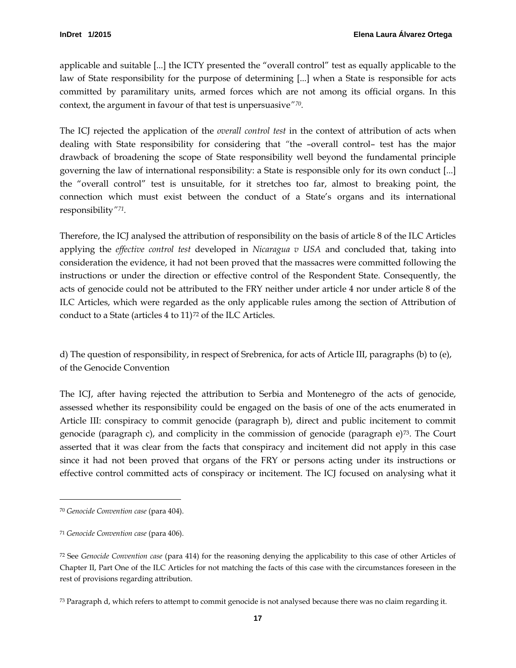applicable and suitable [...] the ICTY presented the "overall control" test as equally applicable to the law of State responsibility for the purpose of determining [...] when a State is responsible for acts committed by paramilitary units, armed forces which are not among its official organs. In this context, the argument in favour of that test is unpersuasive*"[70](#page-20-1).* 

The ICJ rejected the application of the *overall control test* in the context of attribution of acts when dealing with State responsibility for considering that *"*the –overall control– test has the major drawback of broadening the scope of State responsibility well beyond the fundamental principle governing the law of international responsibility: a State is responsible only for its own conduct [...] the "overall control" test is unsuitable, for it stretches too far, almost to breaking point, the connection which must exist between the conduct of a State's organs and its international responsibility*"[71](#page-20-2).* 

Therefore, the ICJ analysed the attribution of responsibility on the basis of article 8 of the ILC Articles applying the *effective control test* developed in *Nicaragua v USA* and concluded that, taking into consideration the evidence, it had not been proved that the massacres were committed following the instructions or under the direction or effective control of the Respondent State. Consequently, the acts of genocide could not be attributed to the FRY neither under article 4 nor under article 8 of the ILC Articles, which were regarded as the only applicable rules among the section of Attribution of conduct to a State (articles 4 to 11)<sup>[72](#page-20-3)</sup> of the ILC Articles.

<span id="page-20-0"></span>d) The question of responsibility, in respect of Srebrenica, for acts of Article III, paragraphs (b) to (e), of the Genocide Convention

The ICJ, after having rejected the attribution to Serbia and Montenegro of the acts of genocide, assessed whether its responsibility could be engaged on the basis of one of the acts enumerated in Article III: conspiracy to commit genocide (paragraph b), direct and public incitement to commit genocide (paragraph c), and complicity in the commission of genocide (paragraph  $e^{i}$ )<sup>[73](#page-20-4)</sup>. The Court asserted that it was clear from the facts that conspiracy and incitement did not apply in this case since it had not been proved that organs of the FRY or persons acting under its instructions or effective control committed acts of conspiracy or incitement. The ICJ focused on analysing what it

<span id="page-20-1"></span><sup>70</sup> *Genocide Convention case* (para 404).

<span id="page-20-2"></span><sup>71</sup> *Genocide Convention case* (para 406).

<span id="page-20-3"></span><sup>72</sup> See *Genocide Convention case* (para 414) for the reasoning denying the applicability to this case of other Articles of Chapter II, Part One of the ILC Articles for not matching the facts of this case with the circumstances foreseen in the rest of provisions regarding attribution.

<span id="page-20-4"></span><sup>73</sup> Paragraph d, which refers to attempt to commit genocide is not analysed because there was no claim regarding it.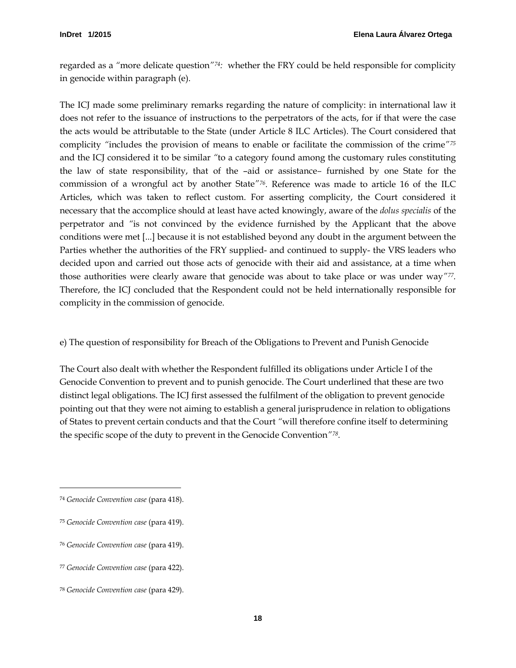regarded as a *"*more delicate question*"[74](#page-21-1):* whether the FRY could be held responsible for complicity in genocide within paragraph (e).

The ICJ made some preliminary remarks regarding the nature of complicity: in international law it does not refer to the issuance of instructions to the perpetrators of the acts, for if that were the case the acts would be attributable to the State (under Article 8 ILC Articles). The Court considered that complicity *"*includes the provision of means to enable or facilitate the commission of the crime*"[75](#page-21-2)* and the ICJ considered it to be similar *"*to a category found among the customary rules constituting the law of state responsibility, that of the –aid or assistance*–* furnished by one State for the commission of a wrongful act by another State*"[76](#page-21-3).* Reference was made to article 16 of the ILC Articles, which was taken to reflect custom. For asserting complicity, the Court considered it necessary that the accomplice should at least have acted knowingly, aware of the *dolus specialis* of the perpetrator and *"*is not convinced by the evidence furnished by the Applicant that the above conditions were met [...] because it is not established beyond any doubt in the argument between the Parties whether the authorities of the FRY supplied- and continued to supply- the VRS leaders who decided upon and carried out those acts of genocide with their aid and assistance, at a time when those authorities were clearly aware that genocide was about to take place or was under way*"[77.](#page-21-4)* Therefore, the ICJ concluded that the Respondent could not be held internationally responsible for complicity in the commission of genocide.

<span id="page-21-0"></span>e) The question of responsibility for Breach of the Obligations to Prevent and Punish Genocide

The Court also dealt with whether the Respondent fulfilled its obligations under Article I of the Genocide Convention to prevent and to punish genocide. The Court underlined that these are two distinct legal obligations. The ICJ first assessed the fulfilment of the obligation to prevent genocide pointing out that they were not aiming to establish a general jurisprudence in relation to obligations of States to prevent certain conducts and that the Court *"*will therefore confine itself to determining the specific scope of the duty to prevent in the Genocide Convention*["78](#page-21-5).*

<span id="page-21-1"></span><sup>74</sup> *Genocide Convention case* (para 418).

<span id="page-21-2"></span><sup>75</sup> *Genocide Convention case* (para 419).

<span id="page-21-3"></span><sup>76</sup> *Genocide Convention case* (para 419).

<span id="page-21-4"></span><sup>77</sup> *Genocide Convention case* (para 422).

<span id="page-21-5"></span><sup>78</sup> *Genocide Convention case* (para 429).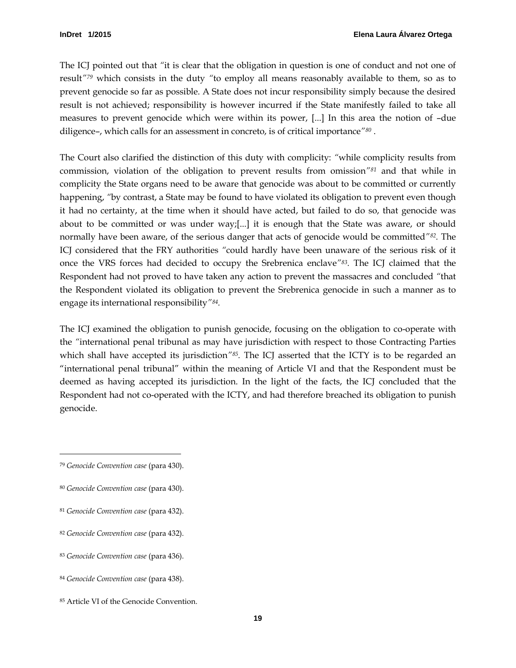The ICJ pointed out that *"*it is clear that the obligation in question is one of conduct and not one of result*"[79](#page-22-0)* which consists in the duty *"*to employ all means reasonably available to them, so as to prevent genocide so far as possible. A State does not incur responsibility simply because the desired result is not achieved; responsibility is however incurred if the State manifestly failed to take all measures to prevent genocide which were within its power, [...] In this area the notion of –due diligence–, which calls for an assessment in concreto, is of critical importance*"[80](#page-22-1)* .

The Court also clarified the distinction of this duty with complicity: *"*while complicity results from commission, violation of the obligation to prevent results from omission*"[81](#page-22-2)* and that while in complicity the State organs need to be aware that genocide was about to be committed or currently happening, *"*by contrast, a State may be found to have violated its obligation to prevent even though it had no certainty, at the time when it should have acted, but failed to do so, that genocide was about to be committed or was under way;[...] it is enough that the State was aware, or should normally have been aware, of the serious danger that acts of genocide would be committed*"[82.](#page-22-3)* The ICJ considered that the FRY authorities *"*could hardly have been unaware of the serious risk of it once the VRS forces had decided to occupy the Srebrenica enclave*["83](#page-22-4).* The ICJ claimed that the Respondent had not proved to have taken any action to prevent the massacres and concluded *"*that the Respondent violated its obligation to prevent the Srebrenica genocide in such a manner as to engage its international responsibility*"[84.](#page-22-5)*

The ICJ examined the obligation to punish genocide, focusing on the obligation to co-operate with the *"*international penal tribunal as may have jurisdiction with respect to those Contracting Parties which shall have accepted its jurisdiction*"[85.](#page-22-6)* The ICJ asserted that the ICTY is to be regarded an "international penal tribunal" within the meaning of Article VI and that the Respondent must be deemed as having accepted its jurisdiction. In the light of the facts, the ICJ concluded that the Respondent had not co-operated with the ICTY, and had therefore breached its obligation to punish genocide.

<span id="page-22-0"></span><sup>79</sup> *Genocide Convention case* (para 430).

<span id="page-22-1"></span><sup>80</sup> *Genocide Convention case* (para 430).

<span id="page-22-2"></span><sup>81</sup> *Genocide Convention case* (para 432).

<span id="page-22-3"></span><sup>82</sup> *Genocide Convention case* (para 432).

<span id="page-22-4"></span><sup>83</sup> *Genocide Convention case* (para 436).

<span id="page-22-5"></span><sup>84</sup> *Genocide Convention case* (para 438).

<span id="page-22-6"></span><sup>85</sup> Article VI of the Genocide Convention.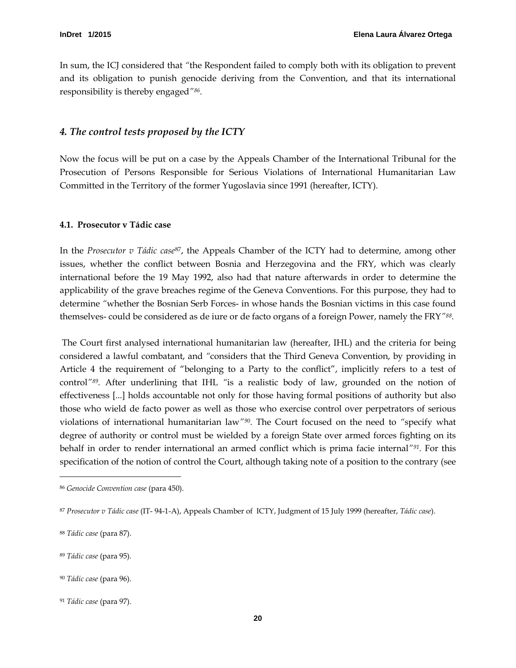In sum, the ICJ considered that *"*the Respondent failed to comply both with its obligation to prevent and its obligation to punish genocide deriving from the Convention, and that its international responsibility is thereby engaged*["86](#page-23-2).*

#### <span id="page-23-0"></span>*4. The control tests proposed by the ICTY*

Now the focus will be put on a case by the Appeals Chamber of the International Tribunal for the Prosecution of Persons Responsible for Serious Violations of International Humanitarian Law Committed in the Territory of the former Yugoslavia since 1991 (hereafter, ICTY).

#### <span id="page-23-1"></span>**4.1. Prosecutor v Tádic case**

In the *Prosecutor v Tádic case*[87,](#page-23-3) the Appeals Chamber of the ICTY had to determine, among other issues, whether the conflict between Bosnia and Herzegovina and the FRY, which was clearly international before the 19 May 1992, also had that nature afterwards in order to determine the applicability of the grave breaches regime of the Geneva Conventions. For this purpose, they had to determine *"*whether the Bosnian Serb Forces- in whose hands the Bosnian victims in this case found themselves- could be considered as de iure or de facto organs of a foreign Power, namely the FRY*"[88](#page-23-4).*

The Court first analysed international humanitarian law (hereafter, IHL) and the criteria for being considered a lawful combatant, and *"*considers that the Third Geneva Convention, by providing in Article 4 the requirement of "belonging to a Party to the conflict", implicitly refers to a test of control*"[89.](#page-23-5)* After underlining that IHL *"*is a realistic body of law, grounded on the notion of effectiveness [...] holds accountable not only for those having formal positions of authority but also those who wield de facto power as well as those who exercise control over perpetrators of serious violations of international humanitarian law*"[90](#page-23-6).* The Court focused on the need to *"*specify what degree of authority or control must be wielded by a foreign State over armed forces fighting on its behalf in order to render international an armed conflict which is prima facie internal*"[91](#page-23-7) .* For this specification of the notion of control the Court, although taking note of a position to the contrary (see

<span id="page-23-2"></span><sup>86</sup> *Genocide Convention case* (para 450).

<span id="page-23-3"></span><sup>87</sup> *Prosecutor v Tádic case* (IT- 94-1-A), Appeals Chamber of ICTY, Judgment of 15 July 1999 (hereafter, *Tádic case*).

<span id="page-23-4"></span><sup>88</sup> *Tádic case* (para 87).

<span id="page-23-5"></span><sup>89</sup> *Tádic case* (para 95).

<span id="page-23-6"></span><sup>90</sup> *Tádic case* (para 96).

<span id="page-23-7"></span><sup>91</sup> *Tádic case* (para 97).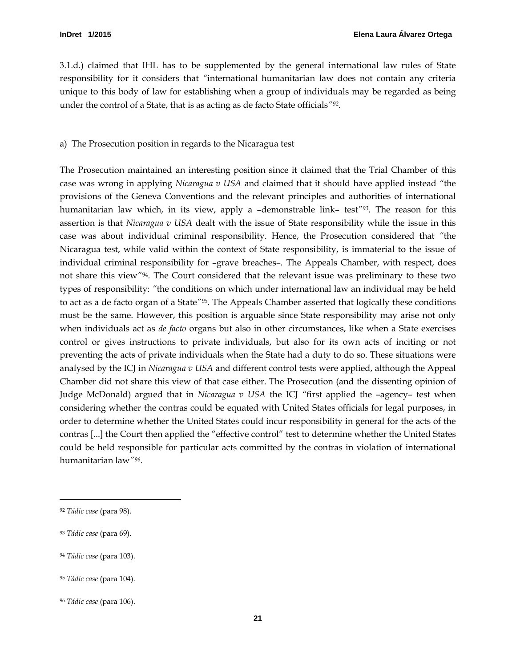3.1.d.) claimed that IHL has to be supplemented by the general international law rules of State responsibility for it considers that *"*international humanitarian law does not contain any criteria unique to this body of law for establishing when a group of individuals may be regarded as being under the control of a State, that is as acting as de facto State officials*"[92.](#page-24-1)* 

#### <span id="page-24-0"></span>a) The Prosecution position in regards to the Nicaragua test

The Prosecution maintained an interesting position since it claimed that the Trial Chamber of this case was wrong in applying *Nicaragua v USA* and claimed that it should have applied instead *"*the provisions of the Geneva Conventions and the relevant principles and authorities of international humanitarian law which, in its view, apply a –demonstrable link– test*"[93.](#page-24-2)* The reason for this assertion is that *Nicaragua v USA* dealt with the issue of State responsibility while the issue in this case was about individual criminal responsibility. Hence, the Prosecution considered that *"*the Nicaragua test, while valid within the context of State responsibility, is immaterial to the issue of individual criminal responsibility for –grave breaches*–.* The Appeals Chamber, with respect, does not share this view*"*[94](#page-24-3)*.* The Court considered that the relevant issue was preliminary to these two types of responsibility: *"*the conditions on which under international law an individual may be held to act as a de facto organ of a State*"[95](#page-24-4).* The Appeals Chamber asserted that logically these conditions must be the same. However, this position is arguable since State responsibility may arise not only when individuals act as *de facto* organs but also in other circumstances, like when a State exercises control or gives instructions to private individuals, but also for its own acts of inciting or not preventing the acts of private individuals when the State had a duty to do so. These situations were analysed by the ICJ in *Nicaragua v USA* and different control tests were applied, although the Appeal Chamber did not share this view of that case either. The Prosecution (and the dissenting opinion of Judge McDonald) argued that in *Nicaragua v USA* the ICJ *"*first applied the –agency– test when considering whether the contras could be equated with United States officials for legal purposes, in order to determine whether the United States could incur responsibility in general for the acts of the contras [...] the Court then applied the "effective control" test to determine whether the United States could be held responsible for particular acts committed by the contras in violation of international humanitarian law*"[96.](#page-24-5)*

 $\overline{a}$ 

<span id="page-24-3"></span><sup>94</sup> *Tádic case* (para 103).

<span id="page-24-1"></span><sup>92</sup> *Tádic case* (para 98).

<span id="page-24-2"></span><sup>93</sup> *Tádic case* (para 69).

<span id="page-24-4"></span><sup>95</sup> *Tádic case* (para 104).

<span id="page-24-5"></span><sup>96</sup> *Tádic case* (para 106).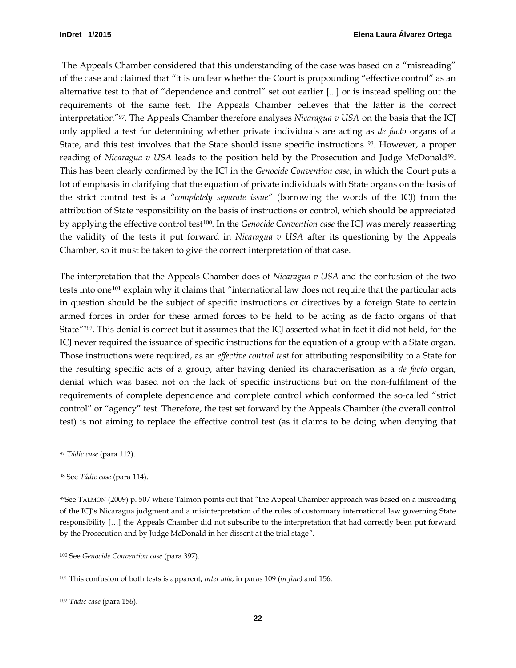The Appeals Chamber considered that this understanding of the case was based on a "misreading" of the case and claimed that *"*it is unclear whether the Court is propounding "effective control" as an alternative test to that of "dependence and control" set out earlier [...] or is instead spelling out the requirements of the same test. The Appeals Chamber believes that the latter is the correct interpretation*"[97.](#page-25-0)* The Appeals Chamber therefore analyses *Nicaragua v USA* on the basis that the ICJ only applied a test for determining whether private individuals are acting as *de facto* organs of a State, and this test involves that the State should issue specific instructions [98](#page-25-1). However, a proper reading of *Nicaragua v USA* leads to the position held by the Prosecution and Judge McDonald[99.](#page-25-2) This has been clearly confirmed by the ICJ in the *Genocide Convention case*, in which the Court puts a lot of emphasis in clarifying that the equation of private individuals with State organs on the basis of the strict control test is a *"completely separate issue"* (borrowing the words of the ICJ) from the attribution of State responsibility on the basis of instructions or control, which should be appreciated by applying the effective control test[100.](#page-25-3) In the *Genocide Convention case* the ICJ was merely reasserting the validity of the tests it put forward in *Nicaragua v USA* after its questioning by the Appeals Chamber, so it must be taken to give the correct interpretation of that case.

The interpretation that the Appeals Chamber does of *Nicaragua v USA* and the confusion of the two tests into one[101](#page-25-4) explain why it claims that *"*international law does not require that the particular acts in question should be the subject of specific instructions or directives by a foreign State to certain armed forces in order for these armed forces to be held to be acting as de facto organs of that State*"[102](#page-25-5) .* This denial is correct but it assumes that the ICJ asserted what in fact it did not held, for the ICJ never required the issuance of specific instructions for the equation of a group with a State organ. Those instructions were required, as an *effective control test* for attributing responsibility to a State for the resulting specific acts of a group, after having denied its characterisation as a *de facto* organ, denial which was based not on the lack of specific instructions but on the non-fulfilment of the requirements of complete dependence and complete control which conformed the so-called "strict control" or "agency" test. Therefore, the test set forward by the Appeals Chamber (the overall control test) is not aiming to replace the effective control test (as it claims to be doing when denying that

<span id="page-25-0"></span><sup>97</sup> *Tádic case* (para 112).

<span id="page-25-1"></span><sup>98</sup> See *Tádic case* (para 114).

<span id="page-25-2"></span><sup>99</sup>See TALMON (2009) p. 507 where Talmon points out that *"*the Appeal Chamber approach was based on a misreading of the ICJ's Nicaragua judgment and a misinterpretation of the rules of custormary international law governing State responsibility […] the Appeals Chamber did not subscribe to the interpretation that had correctly been put forward by the Prosecution and by Judge McDonald in her dissent at the trial stage*"*.

<span id="page-25-3"></span><sup>100</sup> See *Genocide Convention case* (para 397).

<span id="page-25-4"></span><sup>101</sup> This confusion of both tests is apparent, *inter alia*, in paras 109 (*in fine)* and 156.

<span id="page-25-5"></span><sup>102</sup> *Tádic case* (para 156).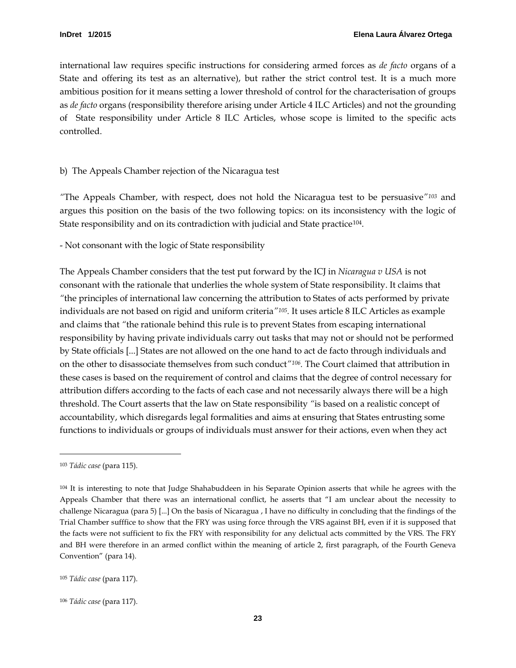international law requires specific instructions for considering armed forces as *de facto* organs of a State and offering its test as an alternative), but rather the strict control test. It is a much more ambitious position for it means setting a lower threshold of control for the characterisation of groups as *de facto* organs (responsibility therefore arising under Article 4 ILC Articles) and not the grounding of State responsibility under Article 8 ILC Articles, whose scope is limited to the specific acts controlled.

#### <span id="page-26-0"></span>b) The Appeals Chamber rejection of the Nicaragua test

*"*The Appeals Chamber, with respect, does not hold the Nicaragua test to be persuasive*"[103](#page-26-1)* and argues this position on the basis of the two following topics: on its inconsistency with the logic of State responsibility and on its contradiction with judicial and State practice<sup>[104](#page-26-2)</sup>.

- Not consonant with the logic of State responsibility

The Appeals Chamber considers that the test put forward by the ICJ in *Nicaragua v USA* is not consonant with the rationale that underlies the whole system of State responsibility. It claims that *"*the principles of international law concerning the attribution to States of acts performed by private individuals are not based on rigid and uniform criteria*["105.](#page-26-3)* It uses article 8 ILC Articles as example and claims that *"*the rationale behind this rule is to prevent States from escaping international responsibility by having private individuals carry out tasks that may not or should not be performed by State officials [...] States are not allowed on the one hand to act de facto through individuals and on the other to disassociate themselves from such conduct*"[106](#page-26-4) .* The Court claimed that attribution in these cases is based on the requirement of control and claims that the degree of control necessary for attribution differs according to the facts of each case and not necessarily always there will be a high threshold. The Court asserts that the law on State responsibility *"*is based on a realistic concept of accountability, which disregards legal formalities and aims at ensuring that States entrusting some functions to individuals or groups of individuals must answer for their actions, even when they act

<span id="page-26-1"></span><sup>103</sup> *Tádic case* (para 115).

<span id="page-26-2"></span><sup>104</sup> It is interesting to note that Judge Shahabuddeen in his Separate Opinion asserts that while he agrees with the Appeals Chamber that there was an international conflict, he asserts that "I am unclear about the necessity to challenge Nicaragua (para 5) [...] On the basis of Nicaragua , I have no difficulty in concluding that the findings of the Trial Chamber sufffice to show that the FRY was using force through the VRS against BH, even if it is supposed that the facts were not sufficient to fix the FRY with responsibility for any delictual acts committed by the VRS. The FRY and BH were therefore in an armed conflict within the meaning of article 2, first paragraph, of the Fourth Geneva Convention" (para 14).

<span id="page-26-3"></span><sup>105</sup> *Tádic case* (para 117).

<span id="page-26-4"></span><sup>106</sup> *Tádic case* (para 117).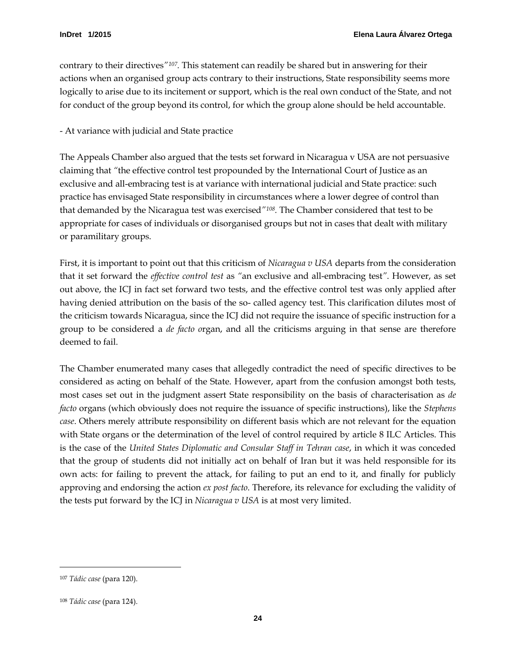contrary to their directives*"[107](#page-27-0).* This statement can readily be shared but in answering for their actions when an organised group acts contrary to their instructions, State responsibility seems more logically to arise due to its incitement or support, which is the real own conduct of the State, and not for conduct of the group beyond its control, for which the group alone should be held accountable.

- At variance with judicial and State practice

The Appeals Chamber also argued that the tests set forward in Nicaragua v USA are not persuasive claiming that *"*the effective control test propounded by the International Court of Justice as an exclusive and all-embracing test is at variance with international judicial and State practice: such practice has envisaged State responsibility in circumstances where a lower degree of control than that demanded by the Nicaragua test was exercised*"[108](#page-27-1).* The Chamber considered that test to be appropriate for cases of individuals or disorganised groups but not in cases that dealt with military or paramilitary groups.

First, it is important to point out that this criticism of *Nicaragua v USA* departs from the consideration that it set forward the *effective control test* as *"*an exclusive and all-embracing test*"*. However, as set out above, the ICJ in fact set forward two tests, and the effective control test was only applied after having denied attribution on the basis of the so- called agency test. This clarification dilutes most of the criticism towards Nicaragua, since the ICJ did not require the issuance of specific instruction for a group to be considered a *de facto o*rgan, and all the criticisms arguing in that sense are therefore deemed to fail.

The Chamber enumerated many cases that allegedly contradict the need of specific directives to be considered as acting on behalf of the State. However, apart from the confusion amongst both tests, most cases set out in the judgment assert State responsibility on the basis of characterisation as *de facto* organs (which obviously does not require the issuance of specific instructions), like the *Stephens case*. Others merely attribute responsibility on different basis which are not relevant for the equation with State organs or the determination of the level of control required by article 8 ILC Articles. This is the case of the *United States Diplomatic and Consular Staff in Tehran case*, in which it was conceded that the group of students did not initially act on behalf of Iran but it was held responsible for its own acts: for failing to prevent the attack, for failing to put an end to it, and finally for publicly approving and endorsing the action *ex post facto*. Therefore, its relevance for excluding the validity of the tests put forward by the ICJ in *Nicaragua v USA* is at most very limited.

<span id="page-27-0"></span><sup>107</sup> *Tádic case* (para 120).

<span id="page-27-1"></span><sup>108</sup> *Tádic case* (para 124).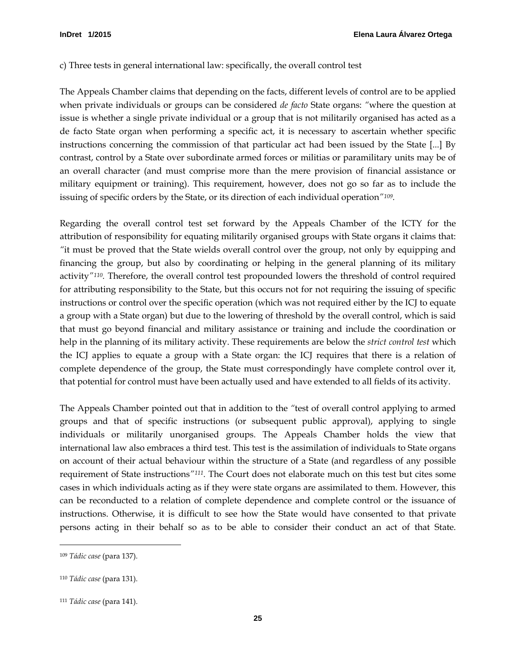#### <span id="page-28-0"></span>c) Three tests in general international law: specifically, the overall control test

The Appeals Chamber claims that depending on the facts, different levels of control are to be applied when private individuals or groups can be considered *de facto* State organs: *"*where the question at issue is whether a single private individual or a group that is not militarily organised has acted as a de facto State organ when performing a specific act, it is necessary to ascertain whether specific instructions concerning the commission of that particular act had been issued by the State [...] By contrast, control by a State over subordinate armed forces or militias or paramilitary units may be of an overall character (and must comprise more than the mere provision of financial assistance or military equipment or training). This requirement, however, does not go so far as to include the issuing of specific orders by the State, or its direction of each individual operation*"[109](#page-28-1).* 

Regarding the overall control test set forward by the Appeals Chamber of the ICTY for the attribution of responsibility for equating militarily organised groups with State organs it claims that: *"*it must be proved that the State wields overall control over the group, not only by equipping and financing the group, but also by coordinating or helping in the general planning of its military activity*"[110.](#page-28-2)* Therefore, the overall control test propounded lowers the threshold of control required for attributing responsibility to the State, but this occurs not for not requiring the issuing of specific instructions or control over the specific operation (which was not required either by the ICJ to equate a group with a State organ) but due to the lowering of threshold by the overall control, which is said that must go beyond financial and military assistance or training and include the coordination or help in the planning of its military activity. These requirements are below the *strict control test* which the ICJ applies to equate a group with a State organ: the ICJ requires that there is a relation of complete dependence of the group, the State must correspondingly have complete control over it, that potential for control must have been actually used and have extended to all fields of its activity.

The Appeals Chamber pointed out that in addition to the *"*test of overall control applying to armed groups and that of specific instructions (or subsequent public approval), applying to single individuals or militarily unorganised groups. The Appeals Chamber holds the view that international law also embraces a third test. This test is the assimilation of individuals to State organs on account of their actual behaviour within the structure of a State (and regardless of any possible requirement of State instructions*"[111](#page-28-3) .* The Court does not elaborate much on this test but cites some cases in which individuals acting as if they were state organs are assimilated to them. However, this can be reconducted to a relation of complete dependence and complete control or the issuance of instructions. Otherwise, it is difficult to see how the State would have consented to that private persons acting in their behalf so as to be able to consider their conduct an act of that State.

<span id="page-28-1"></span><sup>109</sup> *Tádic case* (para 137).

<span id="page-28-2"></span><sup>110</sup> *Tádic case* (para 131).

<span id="page-28-3"></span><sup>111</sup> *Tádic case* (para 141).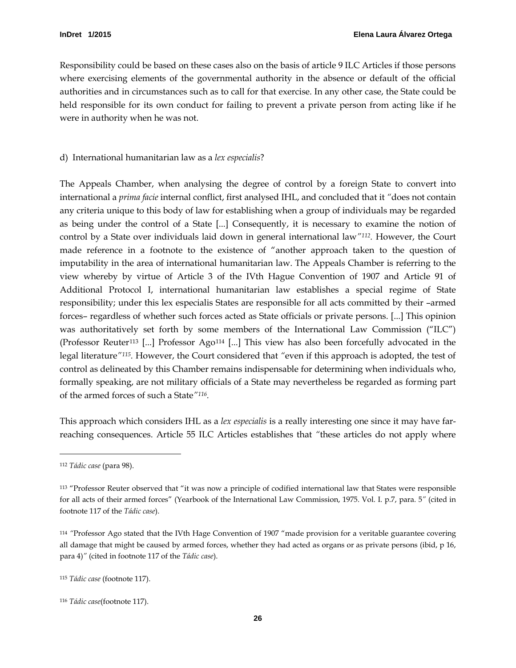Responsibility could be based on these cases also on the basis of article 9 ILC Articles if those persons where exercising elements of the governmental authority in the absence or default of the official authorities and in circumstances such as to call for that exercise. In any other case, the State could be held responsible for its own conduct for failing to prevent a private person from acting like if he were in authority when he was not.

#### <span id="page-29-0"></span>d) International humanitarian law as a *lex especialis*?

The Appeals Chamber, when analysing the degree of control by a foreign State to convert into international a *prima facie* internal conflict, first analysed IHL, and concluded that it *"*does not contain any criteria unique to this body of law for establishing when a group of individuals may be regarded as being under the control of a State [...] Consequently, it is necessary to examine the notion of control by a State over individuals laid down in general international law<sup>"112</sup>. However, the Court made reference in a footnote to the existence of "another approach taken to the question of imputability in the area of international humanitarian law. The Appeals Chamber is referring to the view whereby by virtue of Article 3 of the IVth Hague Convention of 1907 and Article 91 of Additional Protocol I, international humanitarian law establishes a special regime of State responsibility; under this lex especialis States are responsible for all acts committed by their –armed forces– regardless of whether such forces acted as State officials or private persons. [...] This opinion was authoritatively set forth by some members of the International Law Commission ("ILC") (Professor Reuter[113](#page-29-2) [...] Professor Ago[114](#page-29-3) [...] This view has also been forcefully advocated in the legal literature*"[115](#page-29-4).* However, the Court considered that *"*even if this approach is adopted, the test of control as delineated by this Chamber remains indispensable for determining when individuals who, formally speaking, are not military officials of a State may nevertheless be regarded as forming part of the armed forces of such a State*"[116.](#page-29-5)* 

This approach which considers IHL as a *lex especialis* is a really interesting one since it may have farreaching consequences. Article 55 ILC Articles establishes that *"*these articles do not apply where

<span id="page-29-1"></span><sup>112</sup> *Tádic case* (para 98).

<span id="page-29-2"></span><sup>113</sup> "Professor Reuter observed that "it was now a principle of codified international law that States were responsible for all acts of their armed forces" (Yearbook of the International Law Commission, 1975. Vol. I. p.7, para. 5*"* (cited in footnote 117 of the *Tádic case*).

<span id="page-29-3"></span><sup>114</sup> *"*Professor Ago stated that the IVth Hage Convention of 1907 "made provision for a veritable guarantee covering all damage that might be caused by armed forces, whether they had acted as organs or as private persons (ibid, p 16, para 4)*"* (cited in footnote 117 of the *Tádic case*).

<span id="page-29-4"></span><sup>115</sup> *Tádic case* (footnote 117).

<span id="page-29-5"></span><sup>116</sup> *Tádic case*(footnote 117).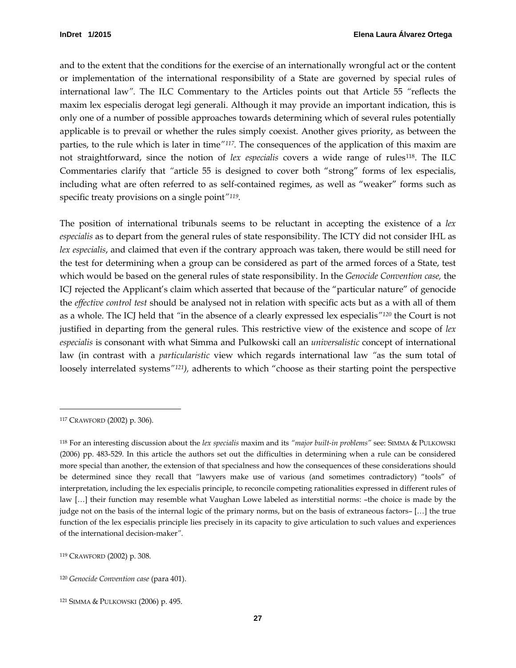and to the extent that the conditions for the exercise of an internationally wrongful act or the content or implementation of the international responsibility of a State are governed by special rules of international law*".* The ILC Commentary to the Articles points out that Article 55 *"*reflects the maxim lex especialis derogat legi generali. Although it may provide an important indication, this is only one of a number of possible approaches towards determining which of several rules potentially applicable is to prevail or whether the rules simply coexist. Another gives priority, as between the parties, to the rule which is later in time*["117.](#page-30-0)* The consequences of the application of this maxim are not straightforward, since the notion of *lex especialis* covers a wide range of rules[118](#page-30-1). The ILC Commentaries clarify that *"*article 55 is designed to cover both "strong" forms of lex especialis, including what are often referred to as self-contained regimes, as well as "weaker" forms such as specific treaty provisions on a single point*"[119.](#page-30-2)*

The position of international tribunals seems to be reluctant in accepting the existence of a *lex especialis* as to depart from the general rules of state responsibility. The ICTY did not consider IHL as *lex especialis*, and claimed that even if the contrary approach was taken, there would be still need for the test for determining when a group can be considered as part of the armed forces of a State, test which would be based on the general rules of state responsibility. In the *Genocide Convention case,* the ICJ rejected the Applicant's claim which asserted that because of the "particular nature" of genocide the *effective control test* should be analysed not in relation with specific acts but as a with all of them as a whole. The ICJ held that *"*in the absence of a clearly expressed lex especialis*"[120](#page-30-3)* the Court is not justified in departing from the general rules. This restrictive view of the existence and scope of *lex especialis* is consonant with what Simma and Pulkowski call an *universalistic* concept of international law (in contrast with a *particularistic* view which regards international law *"*as the sum total of loosely interrelated systems*"[121](#page-30-4) ),* adherents to which "choose as their starting point the perspective

<span id="page-30-0"></span><sup>117</sup> CRAWFORD (2002) p. 306).

<span id="page-30-1"></span><sup>118</sup> For an interesting discussion about the *lex specialis* maxim and its *"major built-in problems"* see: SIMMA & PULKOWSKI (2006) pp. 483-529. In this article the authors set out the difficulties in determining when a rule can be considered more special than another, the extension of that specialness and how the consequences of these considerations should be determined since they recall that *"*lawyers make use of various (and sometimes contradictory) "tools" of interpretation, including the lex especialis principle, to reconcile competing rationalities expressed in different rules of law […] their function may resemble what Vaughan Lowe labeled as interstitial norms: –the choice is made by the judge not on the basis of the internal logic of the primary norms, but on the basis of extraneous factors– […] the true function of the lex especialis principle lies precisely in its capacity to give articulation to such values and experiences of the international decision-maker*"*.

<span id="page-30-2"></span><sup>119</sup> CRAWFORD (2002) p. 308.

<span id="page-30-3"></span><sup>120</sup> *Genocide Convention case* (para 401).

<span id="page-30-4"></span><sup>121</sup> SIMMA & PULKOWSKI (2006) p. 495.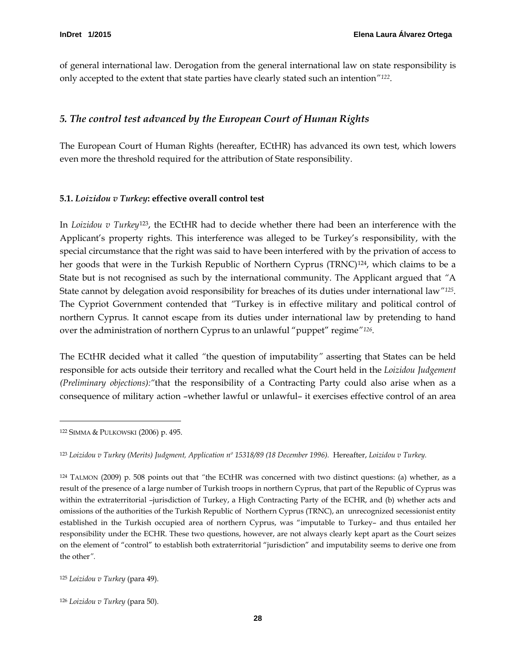of general international law. Derogation from the general international law on state responsibility is only accepted to the extent that state parties have clearly stated such an intention*"[122](#page-31-2)*.

# <span id="page-31-0"></span>*5. The control test advanced by the European Court of Human Rights*

The European Court of Human Rights (hereafter, ECtHR) has advanced its own test, which lowers even more the threshold required for the attribution of State responsibility.

#### <span id="page-31-1"></span>**5.1.** *Loizidou v Turkey***: effective overall control test**

In *Loizidou v Turkey*[123](#page-31-3), the ECtHR had to decide whether there had been an interference with the Applicant's property rights. This interference was alleged to be Turkey's responsibility, with the special circumstance that the right was said to have been interfered with by the privation of access to her goods that were in the Turkish Republic of Northern Cyprus (TRNC)<sup>[124](#page-31-4)</sup>, which claims to be a State but is not recognised as such by the international community. The Applicant argued that *"*A State cannot by delegation avoid responsibility for breaches of its duties under international law*"[125](#page-31-5).*  The Cypriot Government contended that *"*Turkey is in effective military and political control of northern Cyprus. It cannot escape from its duties under international law by pretending to hand over the administration of northern Cyprus to an unlawful "puppet" regime*"[126.](#page-31-6)* 

The ECtHR decided what it called *"*the question of imputability*"* asserting that States can be held responsible for acts outside their territory and recalled what the Court held in the *Loizidou Judgement (Preliminary objections):"*that the responsibility of a Contracting Party could also arise when as a consequence of military action –whether lawful or unlawful– it exercises effective control of an area

<span id="page-31-2"></span><sup>122</sup> SIMMA & PULKOWSKI (2006) p. 495.

<span id="page-31-3"></span><sup>123</sup> *Loizidou v Turkey (Merits) Judgment, Application nº 15318/89 (18 December 1996).* Hereafter, *Loizidou v Turkey.*

<span id="page-31-4"></span><sup>124</sup> TALMON (2009) p. 508 points out that *"*the ECtHR was concerned with two distinct questions: (a) whether, as a result of the presence of a large number of Turkish troops in northern Cyprus, that part of the Republic of Cyprus was within the extraterritorial –jurisdiction of Turkey, a High Contracting Party of the ECHR, and (b) whether acts and omissions of the authorities of the Turkish Republic of Northern Cyprus (TRNC), an unrecognized secessionist entity established in the Turkish occupied area of northern Cyprus, was "imputable to Turkey– and thus entailed her responsibility under the ECHR. These two questions, however, are not always clearly kept apart as the Court seizes on the element of "control" to establish both extraterritorial "jurisdiction" and imputability seems to derive one from the other*".* 

<span id="page-31-5"></span><sup>125</sup> *Loizidou v Turkey* (para 49).

<span id="page-31-6"></span><sup>126</sup> *Loizidou v Turkey* (para 50).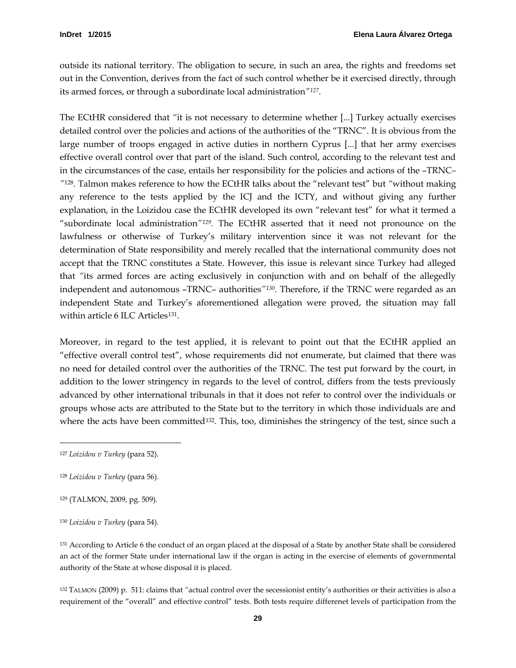outside its national territory. The obligation to secure, in such an area, the rights and freedoms set out in the Convention, derives from the fact of such control whether be it exercised directly, through its armed forces, or through a subordinate local administration*"[127](#page-32-0).* 

The ECtHR considered that *"*it is not necessary to determine whether [...] Turkey actually exercises detailed control over the policies and actions of the authorities of the "TRNC". It is obvious from the large number of troops engaged in active duties in northern Cyprus [...] that her army exercises effective overall control over that part of the island. Such control, according to the relevant test and in the circumstances of the case, entails her responsibility for the policies and actions of the –TRNC*– "*[128](#page-32-1)*.* Talmon makes reference to how the ECtHR talks about the "relevant test" but *"*without making any reference to the tests applied by the ICJ and the ICTY, and without giving any further explanation, in the Loizidou case the ECtHR developed its own "relevant test" for what it termed a "subordinate local administration*"[129.](#page-32-2)* The ECtHR asserted that it need not pronounce on the lawfulness or otherwise of Turkey's military intervention since it was not relevant for the determination of State responsibility and merely recalled that the international community does not accept that the TRNC constitutes a State. However, this issue is relevant since Turkey had alleged that *"*its armed forces are acting exclusively in conjunction with and on behalf of the allegedly independent and autonomous –TRNC– authorities*"[130](#page-32-3).* Therefore, if the TRNC were regarded as an independent State and Turkey's aforementioned allegation were proved, the situation may fall within article 6 ILC Articles<sup>[131](#page-32-4)</sup>.

Moreover, in regard to the test applied, it is relevant to point out that the ECtHR applied an "effective overall control test", whose requirements did not enumerate, but claimed that there was no need for detailed control over the authorities of the TRNC. The test put forward by the court, in addition to the lower stringency in regards to the level of control, differs from the tests previously advanced by other international tribunals in that it does not refer to control over the individuals or groups whose acts are attributed to the State but to the territory in which those individuals are and where the acts have been committed<sup>[132](#page-32-5)</sup>. This, too, diminishes the stringency of the test, since such a

 $\ddot{ }$ 

<span id="page-32-4"></span><sup>131</sup> According to Article 6 the conduct of an organ placed at the disposal of a State by another State shall be considered an act of the former State under international law if the organ is acting in the exercise of elements of governmental authority of the State at whose disposal it is placed.

<span id="page-32-5"></span><sup>132</sup> TALMON (2009) p. 511: claims that *"*actual control over the secessionist entity's authorities or their activities is also a requirement of the "overall" and effective control" tests. Both tests require differenet levels of participation from the

<span id="page-32-0"></span><sup>127</sup> *Loizidou v Turkey* (para 52).

<span id="page-32-1"></span><sup>128</sup> *Loizidou v Turkey* (para 56).

<span id="page-32-2"></span><sup>129</sup> (TALMON, 2009, pg. 509).

<span id="page-32-3"></span><sup>130</sup> *Loizidou v Turkey* (para 54).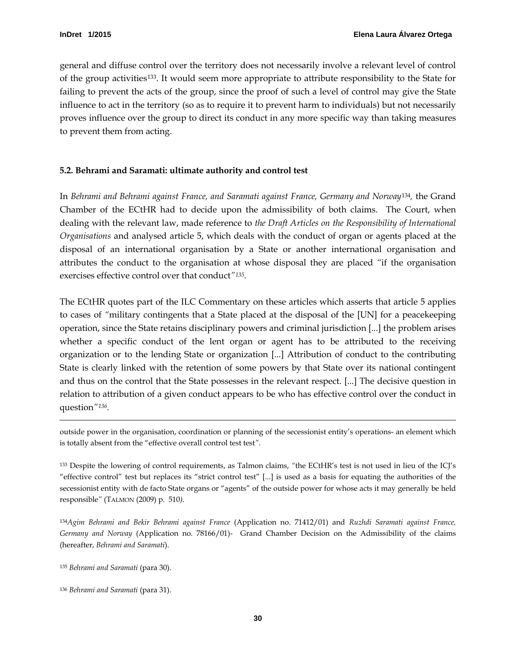general and diffuse control over the territory does not necessarily involve a relevant level of control of the group activities[133.](#page-33-1) It would seem more appropriate to attribute responsibility to the State for failing to prevent the acts of the group, since the proof of such a level of control may give the State influence to act in the territory (so as to require it to prevent harm to individuals) but not necessarily proves influence over the group to direct its conduct in any more specific way than taking measures to prevent them from acting.

#### <span id="page-33-0"></span>**5.2. Behrami and Saramati: ultimate authority and control test**

In *Behrami and Behrami against France, and Saramati against France, Germany and Norway*[134](#page-33-2)*,* the Grand Chamber of the ECtHR had to decide upon the admissibility of both claims. The Court, when dealing with the relevant law, made reference to *the Draft Articles on the Responsibility of International Organisations* and analysed article 5, which deals with the conduct of organ or agents placed at the disposal of an international organisation by a State or another international organisation and attributes the conduct to the organisation at whose disposal they are placed *"*if the organisation exercises effective control over that conduct*["135.](#page-33-3)*

The ECtHR quotes part of the ILC Commentary on these articles which asserts that article 5 applies to cases of *"*military contingents that a State placed at the disposal of the [UN] for a peacekeeping operation, since the State retains disciplinary powers and criminal jurisdiction [...] the problem arises whether a specific conduct of the lent organ or agent has to be attributed to the receiving organization or to the lending State or organization [...] Attribution of conduct to the contributing State is clearly linked with the retention of some powers by that State over its national contingent and thus on the control that the State possesses in the relevant respect. [...] The decisive question in relation to attribution of a given conduct appears to be who has effective control over the conduct in question*"[136](#page-33-4) .* 

outside power in the organisation, coordination or planning of the secessionist entity's operations- an element which is totally absent from the "effective overall control test test*"*.

<span id="page-33-1"></span><sup>133</sup> Despite the lowering of control requirements, as Talmon claims, *"*the ECtHR's test is not used in lieu of the ICJ's "effective control" test but replaces its "strict control test" [...] is used as a basis for equating the authorities of the secessionist entity with de facto State organs or "agents" of the outside power for whose acts it may generally be held responsible*"* (TALMON (2009) p. 510*)*.

<span id="page-33-2"></span><sup>134</sup>*Agim Behrami and Bekir Behrami against France* (Application no. 71412/01) and *Ruzhdi Saramati against France, Germany and Norway* (Application no. 78166/01)- Grand Chamber Decision on the Admissibility of the claims (hereafter, *Behrami and Saramati*).

<span id="page-33-3"></span><sup>135</sup> *Behrami and Saramati* (para 30).

<span id="page-33-4"></span><sup>136</sup> *Behrami and Saramati* (para 31).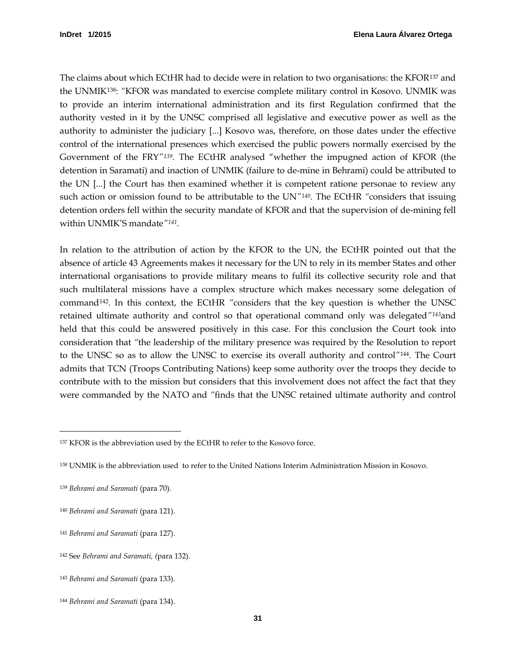The claims about which ECtHR had to decide were in relation to two organisations: the KFOR[137](#page-34-0) and the UNMIK[138:](#page-34-1) *"*KFOR was mandated to exercise complete military control in Kosovo. UNMIK was to provide an interim international administration and its first Regulation confirmed that the authority vested in it by the UNSC comprised all legislative and executive power as well as the authority to administer the judiciary [...] Kosovo was, therefore, on those dates under the effective control of the international presences which exercised the public powers normally exercised by the Government of the FRY*"[139.](#page-34-2)* The ECtHR analysed "whether the impugned action of KFOR (the detention in Saramati) and inaction of UNMIK (failure to de-mine in Behrami) could be attributed to the UN [...] the Court has then examined whether it is competent ratione personae to review any such action or omission found to be attributable to the UN*"[140.](#page-34-3)* The ECtHR *"*considers that issuing detention orders fell within the security mandate of KFOR and that the supervision of de-mining fell within UNMIK'S mandate*"[141](#page-34-4).* 

In relation to the attribution of action by the KFOR to the UN, the ECtHR pointed out that the absence of article 43 Agreements makes it necessary for the UN to rely in its member States and other international organisations to provide military means to fulfil its collective security role and that such multilateral missions have a complex structure which makes necessary some delegation of command[142.](#page-34-5) In this context, the ECtHR *"*considers that the key question is whether the UNSC retained ultimate authority and control so that operational command only was delegated*"[143](#page-34-6)*and held that this could be answered positively in this case. For this conclusion the Court took into consideration that *"*the leadership of the military presence was required by the Resolution to report to the UNSC so as to allow the UNSC to exercise its overall authority and control*"*[144](#page-34-7) *.* The Court admits that TCN (Troops Contributing Nations) keep some authority over the troops they decide to contribute with to the mission but considers that this involvement does not affect the fact that they were commanded by the NATO and *"*finds that the UNSC retained ultimate authority and control

<span id="page-34-0"></span><sup>137</sup> KFOR is the abbreviation used by the ECtHR to refer to the Kosovo force.

<span id="page-34-1"></span><sup>138</sup> UNMIK is the abbreviation used to refer to the United Nations Interim Administration Mission in Kosovo.

<span id="page-34-2"></span><sup>139</sup> *Behrami and Saramati* (para 70).

<span id="page-34-3"></span><sup>140</sup> *Behrami and Saramati* (para 121).

<span id="page-34-4"></span><sup>141</sup> *Behrami and Saramati* (para 127).

<span id="page-34-5"></span><sup>142</sup> See *Behrami and Saramati, (*para 132).

<span id="page-34-6"></span><sup>143</sup> *Behrami and Saramati* (para 133).

<span id="page-34-7"></span><sup>144</sup> *Behrami and Saramati* (para 134).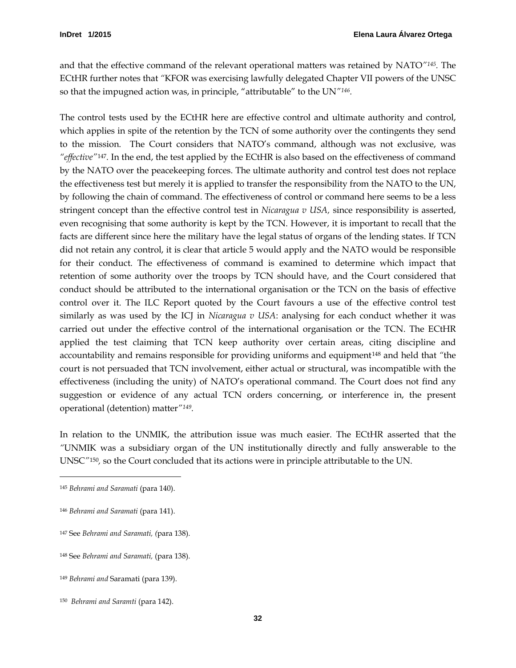and that the effective command of the relevant operational matters was retained by NATO*"[145.](#page-35-0)* The ECtHR further notes that *"*KFOR was exercising lawfully delegated Chapter VII powers of the UNSC so that the impugned action was, in principle, "attributable" to the UN*"[146](#page-35-1).* 

The control tests used by the ECtHR here are effective control and ultimate authority and control, which applies in spite of the retention by the TCN of some authority over the contingents they send to the mission. The Court considers that NATO's command, although was not exclusive, was *"effective"*[147](#page-35-2)*.* In the end, the test applied by the ECtHR is also based on the effectiveness of command by the NATO over the peacekeeping forces. The ultimate authority and control test does not replace the effectiveness test but merely it is applied to transfer the responsibility from the NATO to the UN, by following the chain of command. The effectiveness of control or command here seems to be a less stringent concept than the effective control test in *Nicaragua v USA,* since responsibility is asserted, even recognising that some authority is kept by the TCN. However, it is important to recall that the facts are different since here the military have the legal status of organs of the lending states. If TCN did not retain any control, it is clear that article 5 would apply and the NATO would be responsible for their conduct. The effectiveness of command is examined to determine which impact that retention of some authority over the troops by TCN should have, and the Court considered that conduct should be attributed to the international organisation or the TCN on the basis of effective control over it. The ILC Report quoted by the Court favours a use of the effective control test similarly as was used by the ICJ in *Nicaragua v USA*: analysing for each conduct whether it was carried out under the effective control of the international organisation or the TCN. The ECtHR applied the test claiming that TCN keep authority over certain areas, citing discipline and accountability and remains responsible for providing uniforms and equipment[148](#page-35-3) and held that *"*the court is not persuaded that TCN involvement, either actual or structural, was incompatible with the effectiveness (including the unity) of NATO's operational command. The Court does not find any suggestion or evidence of any actual TCN orders concerning, or interference in, the present operational (detention) matter*"[149](#page-35-4).*

In relation to the UNMIK, the attribution issue was much easier. The ECtHR asserted that the *"*UNMIK was a subsidiary organ of the UN institutionally directly and fully answerable to the UNSC*"*[150](#page-35-5) *,* so the Court concluded that its actions were in principle attributable to the UN.

<span id="page-35-0"></span><sup>145</sup> *Behrami and Saramati* (para 140).

<span id="page-35-1"></span><sup>146</sup> *Behrami and Saramati* (para 141).

<span id="page-35-2"></span><sup>147</sup> See *Behrami and Saramati, (*para 138).

<span id="page-35-3"></span><sup>148</sup> See *Behrami and Saramati,* (para 138).

<span id="page-35-4"></span><sup>149</sup> *Behrami and* Saramati (para 139).

<span id="page-35-5"></span><sup>150</sup> *Behrami and Saramti* (para 142).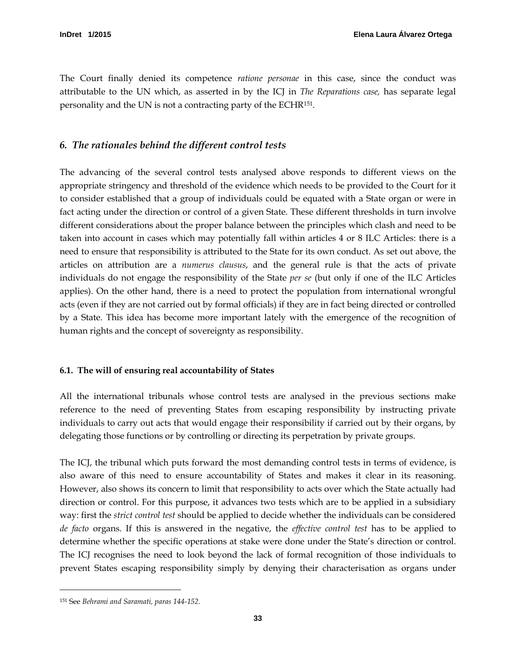The Court finally denied its competence *ratione personae* in this case, since the conduct was attributable to the UN which, as asserted in by the ICJ in *The Reparations case,* has separate legal personality and the UN is not a contracting party of the ECHR[151](#page-36-2).

## <span id="page-36-0"></span>*6. The rationales behind the different control tests*

The advancing of the several control tests analysed above responds to different views on the appropriate stringency and threshold of the evidence which needs to be provided to the Court for it to consider established that a group of individuals could be equated with a State organ or were in fact acting under the direction or control of a given State. These different thresholds in turn involve different considerations about the proper balance between the principles which clash and need to be taken into account in cases which may potentially fall within articles 4 or 8 ILC Articles: there is a need to ensure that responsibility is attributed to the State for its own conduct. As set out above, the articles on attribution are a *numerus clausus*, and the general rule is that the acts of private individuals do not engage the responsibility of the State *per se* (but only if one of the ILC Articles applies). On the other hand, there is a need to protect the population from international wrongful acts (even if they are not carried out by formal officials) if they are in fact being directed or controlled by a State. This idea has become more important lately with the emergence of the recognition of human rights and the concept of sovereignty as responsibility.

#### <span id="page-36-1"></span>**6.1. The will of ensuring real accountability of States**

All the international tribunals whose control tests are analysed in the previous sections make reference to the need of preventing States from escaping responsibility by instructing private individuals to carry out acts that would engage their responsibility if carried out by their organs, by delegating those functions or by controlling or directing its perpetration by private groups.

The ICJ, the tribunal which puts forward the most demanding control tests in terms of evidence, is also aware of this need to ensure accountability of States and makes it clear in its reasoning. However, also shows its concern to limit that responsibility to acts over which the State actually had direction or control. For this purpose, it advances two tests which are to be applied in a subsidiary way: first the *strict control test* should be applied to decide whether the individuals can be considered *de facto* organs. If this is answered in the negative, the *effective control test* has to be applied to determine whether the specific operations at stake were done under the State's direction or control. The ICJ recognises the need to look beyond the lack of formal recognition of those individuals to prevent States escaping responsibility simply by denying their characterisation as organs under

<span id="page-36-2"></span><sup>151</sup> See *Behrami and Saramati, paras 144-152.*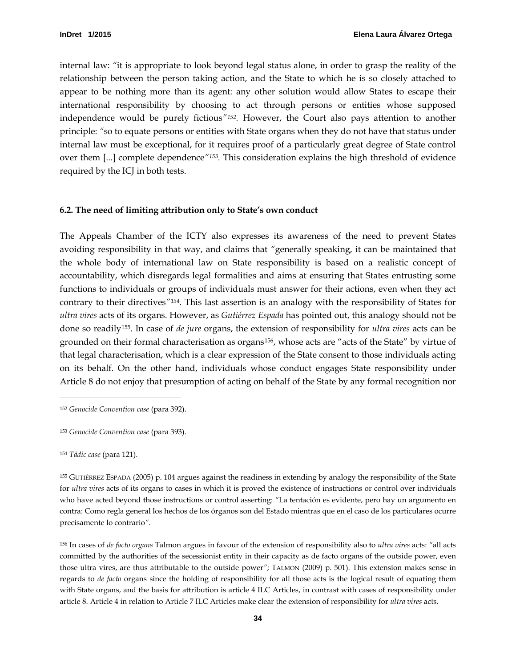internal law: *"*it is appropriate to look beyond legal status alone, in order to grasp the reality of the relationship between the person taking action, and the State to which he is so closely attached to appear to be nothing more than its agent: any other solution would allow States to escape their international responsibility by choosing to act through persons or entities whose supposed independence would be purely fictious*"[152](#page-37-1).* However, the Court also pays attention to another principle: *"*so to equate persons or entities with State organs when they do not have that status under internal law must be exceptional, for it requires proof of a particularly great degree of State control over them [...] complete dependence*"[153.](#page-37-2)* This consideration explains the high threshold of evidence required by the ICJ in both tests.

#### <span id="page-37-0"></span>**6.2. The need of limiting attribution only to State's own conduct**

The Appeals Chamber of the ICTY also expresses its awareness of the need to prevent States avoiding responsibility in that way, and claims that *"*generally speaking, it can be maintained that the whole body of international law on State responsibility is based on a realistic concept of accountability, which disregards legal formalities and aims at ensuring that States entrusting some functions to individuals or groups of individuals must answer for their actions, even when they act contrary to their directives*"[154](#page-37-3).* This last assertion is an analogy with the responsibility of States for *ultra vires* acts of its organs. However, as *Gutiérrez Espada* has pointed out, this analogy should not be done so readily[155.](#page-37-4) In case of *de jure* organs, the extension of responsibility for *ultra vires* acts can be grounded on their formal characterisation as organs[156](#page-37-5) , whose acts are "acts of the State" by virtue of that legal characterisation, which is a clear expression of the State consent to those individuals acting on its behalf. On the other hand, individuals whose conduct engages State responsibility under Article 8 do not enjoy that presumption of acting on behalf of the State by any formal recognition nor

<span id="page-37-3"></span><sup>154</sup> *Tádic case* (para 121).

<span id="page-37-1"></span><sup>152</sup> *Genocide Convention case* (para 392).

<span id="page-37-2"></span><sup>153</sup> *Genocide Convention case* (para 393).

<span id="page-37-4"></span><sup>155</sup> GUTIÉRREZ ESPADA (2005) p. 104 argues against the readiness in extending by analogy the responsibility of the State for *ultra vires* acts of its organs to cases in which it is proved the existence of instructions or control over individuals who have acted beyond those instructions or control asserting: *"*La tentación es evidente, pero hay un argumento en contra: Como regla general los hechos de los órganos son del Estado mientras que en el caso de los particulares ocurre precisamente lo contrario*".*

<span id="page-37-5"></span><sup>156</sup> In cases of *de facto organs* Talmon argues in favour of the extension of responsibility also to *ultra vires* acts: *"*all acts committed by the authorities of the secessionist entity in their capacity as de facto organs of the outside power, even those ultra vires, are thus attributable to the outside power*"*; TALMON (2009) p. 501). This extension makes sense in regards to *de facto* organs since the holding of responsibility for all those acts is the logical result of equating them with State organs, and the basis for attribution is article 4 ILC Articles, in contrast with cases of responsibility under article 8. Article 4 in relation to Article 7 ILC Articles make clear the extension of responsibility for *ultra vires* acts.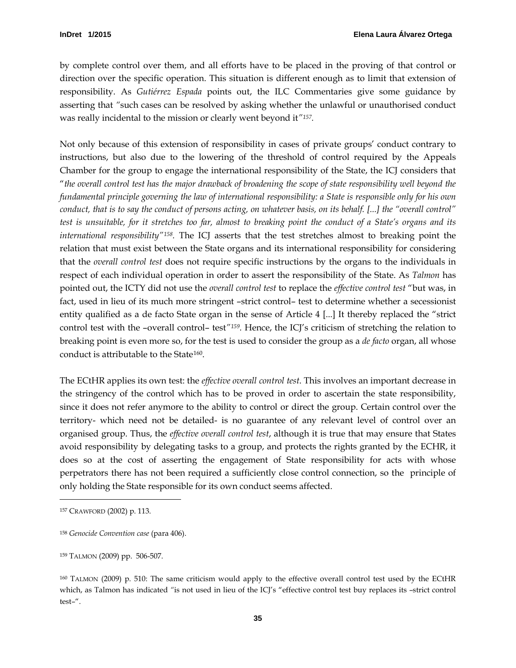by complete control over them, and all efforts have to be placed in the proving of that control or direction over the specific operation. This situation is different enough as to limit that extension of responsibility. As *Gutiérrez Espada* points out, the ILC Commentaries give some guidance by asserting that *"*such cases can be resolved by asking whether the unlawful or unauthorised conduct was really incidental to the mission or clearly went beyond it*"[157.](#page-38-0)* 

Not only because of this extension of responsibility in cases of private groups' conduct contrary to instructions, but also due to the lowering of the threshold of control required by the Appeals Chamber for the group to engage the international responsibility of the State, the ICJ considers that "*the overall control test has the major drawback of broadening the scope of state responsibility well beyond the fundamental principle governing the law of international responsibility: a State is responsible only for his own conduct, that is to say the conduct of persons acting, on whatever basis, on its behalf. [...] the "overall control" test is unsuitable, for it stretches too far, almost to breaking point the conduct of a State's organs and its international responsibility"[158.](#page-38-1)* The ICJ asserts that the test stretches almost to breaking point the relation that must exist between the State organs and its international responsibility for considering that the *overall control test* does not require specific instructions by the organs to the individuals in respect of each individual operation in order to assert the responsibility of the State. As *Talmon* has pointed out, the ICTY did not use the *overall control test* to replace the *effective control test* "but was, in fact, used in lieu of its much more stringent –strict control– test to determine whether a secessionist entity qualified as a de facto State organ in the sense of Article 4 [...] It thereby replaced the "strict control test with the –overall control– test<sup>"159</sup>. Hence, the ICJ's criticism of stretching the relation to breaking point is even more so, for the test is used to consider the group as a *de facto* organ, all whose conduct is attributable to the State[160](#page-38-3).

The ECtHR applies its own test: the *effective overall control test*. This involves an important decrease in the stringency of the control which has to be proved in order to ascertain the state responsibility, since it does not refer anymore to the ability to control or direct the group. Certain control over the territory- which need not be detailed- is no guarantee of any relevant level of control over an organised group. Thus, the *effective overall control test*, although it is true that may ensure that States avoid responsibility by delegating tasks to a group, and protects the rights granted by the ECHR, it does so at the cost of asserting the engagement of State responsibility for acts with whose perpetrators there has not been required a sufficiently close control connection, so the principle of only holding the State responsible for its own conduct seems affected.

<span id="page-38-0"></span><sup>157</sup> CRAWFORD (2002) p. 113.

<span id="page-38-1"></span><sup>158</sup> *Genocide Convention case* (para 406).

<span id="page-38-2"></span><sup>159</sup> TALMON (2009) pp. 506-507.

<span id="page-38-3"></span><sup>160</sup> TALMON (2009) p. 510: The same criticism would apply to the effective overall control test used by the ECtHR which, as Talmon has indicated *"*is not used in lieu of the ICJ's "effective control test buy replaces its –strict control test–".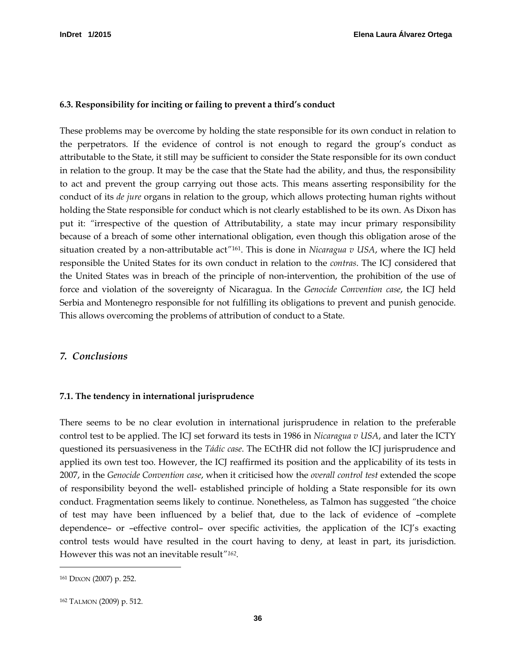#### <span id="page-39-0"></span>**6.3. Responsibility for inciting or failing to prevent a third's conduct**

These problems may be overcome by holding the state responsible for its own conduct in relation to the perpetrators. If the evidence of control is not enough to regard the group's conduct as attributable to the State, it still may be sufficient to consider the State responsible for its own conduct in relation to the group. It may be the case that the State had the ability, and thus, the responsibility to act and prevent the group carrying out those acts. This means asserting responsibility for the conduct of its *de jure* organs in relation to the group, which allows protecting human rights without holding the State responsible for conduct which is not clearly established to be its own. As Dixon has put it: *"*irrespective of the question of Attributability, a state may incur primary responsibility because of a breach of some other international obligation, even though this obligation arose of the situation created by a non-attributable act*"*[161.](#page-39-3) This is done in *Nicaragua v USA*, where the ICJ held responsible the United States for its own conduct in relation to the *contras*. The ICJ considered that the United States was in breach of the principle of non-intervention, the prohibition of the use of force and violation of the sovereignty of Nicaragua. In the *Genocide Convention case*, the ICJ held Serbia and Montenegro responsible for not fulfilling its obligations to prevent and punish genocide. This allows overcoming the problems of attribution of conduct to a State.

#### <span id="page-39-1"></span>*7. Conclusions*

#### <span id="page-39-2"></span>**7.1. The tendency in international jurisprudence**

There seems to be no clear evolution in international jurisprudence in relation to the preferable control test to be applied. The ICJ set forward its tests in 1986 in *Nicaragua v USA*, and later the ICTY questioned its persuasiveness in the *Tádic case*. The ECtHR did not follow the ICJ jurisprudence and applied its own test too. However, the ICJ reaffirmed its position and the applicability of its tests in 2007, in the *Genocide Convention case*, when it criticised how the *overall control test* extended the scope of responsibility beyond the well- established principle of holding a State responsible for its own conduct. Fragmentation seems likely to continue. Nonetheless, as Talmon has suggested *"*the choice of test may have been influenced by a belief that, due to the lack of evidence of –complete dependence– or –effective control– over specific activities, the application of the ICJ's exacting control tests would have resulted in the court having to deny, at least in part, its jurisdiction. However this was not an inevitable result*"[162](#page-39-4) .*

<span id="page-39-3"></span><sup>161</sup> DIXON (2007) p. 252.

<span id="page-39-4"></span><sup>162</sup> TALMON (2009) p. 512.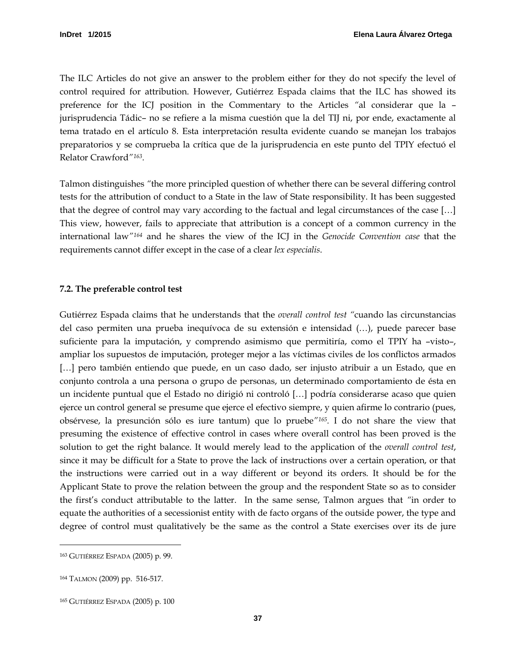The ILC Articles do not give an answer to the problem either for they do not specify the level of control required for attribution. However, Gutiérrez Espada claims that the ILC has showed its preference for the ICJ position in the Commentary to the Articles *"*al considerar que la – jurisprudencia Tádic– no se refiere a la misma cuestión que la del TIJ ni, por ende, exactamente al tema tratado en el artículo 8. Esta interpretación resulta evidente cuando se manejan los trabajos preparatorios y se comprueba la crítica que de la jurisprudencia en este punto del TPIY efectuó el Relator Crawford*"[163.](#page-40-1)* 

Talmon distinguishes *"*the more principled question of whether there can be several differing control tests for the attribution of conduct to a State in the law of State responsibility. It has been suggested that the degree of control may vary according to the factual and legal circumstances of the case […] This view, however, fails to appreciate that attribution is a concept of a common currency in the international law*"[164](#page-40-2)* and he shares the view of the ICJ in the *Genocide Convention case* that the requirements cannot differ except in the case of a clear *lex especialis*.

#### <span id="page-40-0"></span>**7.2. The preferable control test**

Gutiérrez Espada claims that he understands that the *overall control test "*cuando las circunstancias del caso permiten una prueba inequívoca de su extensión e intensidad (…), puede parecer base suficiente para la imputación, y comprendo asimismo que permitiría, como el TPIY ha –visto–, ampliar los supuestos de imputación, proteger mejor a las víctimas civiles de los conflictos armados [...] pero también entiendo que puede, en un caso dado, ser injusto atribuir a un Estado, que en conjunto controla a una persona o grupo de personas, un determinado comportamiento de ésta en un incidente puntual que el Estado no dirigió ni controló […] podría considerarse acaso que quien ejerce un control general se presume que ejerce el efectivo siempre, y quien afirme lo contrario (pues, obsérvese, la presunción sólo es iure tantum) que lo pruebe*"[165](#page-40-3) .* I do not share the view that presuming the existence of effective control in cases where overall control has been proved is the solution to get the right balance. It would merely lead to the application of the *overall control test*, since it may be difficult for a State to prove the lack of instructions over a certain operation, or that the instructions were carried out in a way different or beyond its orders. It should be for the Applicant State to prove the relation between the group and the respondent State so as to consider the first's conduct attributable to the latter. In the same sense, Talmon argues that *"*in order to equate the authorities of a secessionist entity with de facto organs of the outside power, the type and degree of control must qualitatively be the same as the control a State exercises over its de jure

<span id="page-40-1"></span><sup>163</sup> GUTIÉRREZ ESPADA (2005) p. 99.

<span id="page-40-2"></span><sup>164</sup> TALMON (2009) pp. 516-517.

<span id="page-40-3"></span><sup>165</sup> GUTIÉRREZ ESPADA (2005) p. 100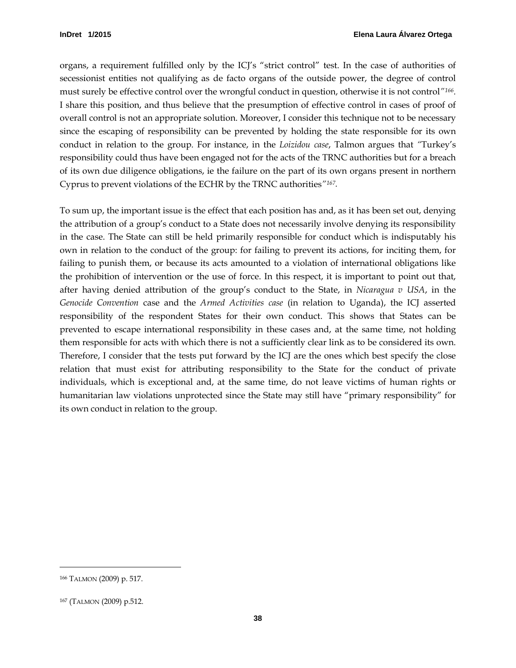organs, a requirement fulfilled only by the ICJ's "strict control" test. In the case of authorities of secessionist entities not qualifying as de facto organs of the outside power, the degree of control must surely be effective control over the wrongful conduct in question, otherwise it is not control*"[166.](#page-41-0)*  I share this position, and thus believe that the presumption of effective control in cases of proof of overall control is not an appropriate solution. Moreover, I consider this technique not to be necessary since the escaping of responsibility can be prevented by holding the state responsible for its own conduct in relation to the group. For instance, in the *Loizidou case*, Talmon argues that *"*Turkey's responsibility could thus have been engaged not for the acts of the TRNC authorities but for a breach of its own due diligence obligations, ie the failure on the part of its own organs present in northern Cyprus to prevent violations of the ECHR by the TRNC authorities*"[167](#page-41-1).*

To sum up, the important issue is the effect that each position has and, as it has been set out, denying the attribution of a group's conduct to a State does not necessarily involve denying its responsibility in the case. The State can still be held primarily responsible for conduct which is indisputably his own in relation to the conduct of the group: for failing to prevent its actions, for inciting them, for failing to punish them, or because its acts amounted to a violation of international obligations like the prohibition of intervention or the use of force. In this respect, it is important to point out that, after having denied attribution of the group's conduct to the State, in *Nicaragua v USA*, in the *Genocide Convention* case and the *Armed Activities case* (in relation to Uganda), the ICJ asserted responsibility of the respondent States for their own conduct. This shows that States can be prevented to escape international responsibility in these cases and, at the same time, not holding them responsible for acts with which there is not a sufficiently clear link as to be considered its own. Therefore, I consider that the tests put forward by the ICJ are the ones which best specify the close relation that must exist for attributing responsibility to the State for the conduct of private individuals, which is exceptional and, at the same time, do not leave victims of human rights or humanitarian law violations unprotected since the State may still have "primary responsibility" for its own conduct in relation to the group.

<span id="page-41-0"></span><sup>166</sup> TALMON (2009) p. 517.

<span id="page-41-1"></span><sup>167</sup> (TALMON (2009) p.512.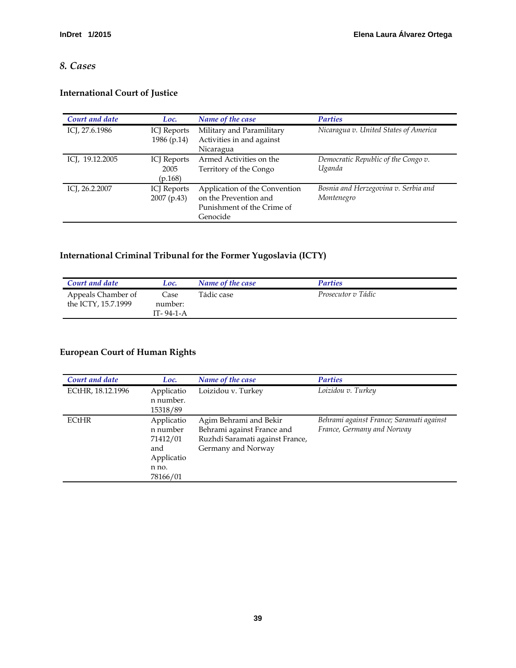# <span id="page-42-0"></span>*8. Cases*

# **International Court of Justice**

| Court and date  | Loc.               | Name of the case              | <b>Parties</b>                        |
|-----------------|--------------------|-------------------------------|---------------------------------------|
| ICJ, 27.6.1986  | ICJ Reports        | Military and Paramilitary     | Nicaragua v. United States of America |
|                 | 1986 (p.14)        | Activities in and against     |                                       |
|                 |                    | Nicaragua                     |                                       |
| ICJ, 19.12.2005 | ICJ Reports        | Armed Activities on the       | Democratic Republic of the Congo v.   |
|                 | 2005               | Territory of the Congo        | Uganda                                |
|                 | (p.168)            |                               |                                       |
| ICJ, 26.2.2007  | <b>ICJ</b> Reports | Application of the Convention | Bosnia and Herzegovina v. Serbia and  |
|                 | 2007 (p.43)        | on the Prevention and         | Montenegro                            |
|                 |                    | Punishment of the Crime of    |                                       |
|                 |                    | Genocide                      |                                       |

# **International Criminal Tribunal for the Former Yugoslavia (ICTY)**

| Court and date                            | Loc.                         | Name of the case | <b>Parties</b>     |  |
|-------------------------------------------|------------------------------|------------------|--------------------|--|
| Appeals Chamber of<br>the ICTY, 15.7.1999 | Case<br>number:<br>IT-94-1-A | Tádic case       | Prosecutor v Tádic |  |

# **European Court of Human Rights**

| Court and date    | Loc.                                                                         | Name of the case                                                                                              | <b>Parties</b>                                                         |
|-------------------|------------------------------------------------------------------------------|---------------------------------------------------------------------------------------------------------------|------------------------------------------------------------------------|
| ECtHR, 18.12.1996 | Applicatio<br>n number.<br>15318/89                                          | Loizidou v. Turkey                                                                                            | Loizidou v. Turkey                                                     |
| <b>ECtHR</b>      | Applicatio<br>n number<br>71412/01<br>and<br>Applicatio<br>n no.<br>78166/01 | Agim Behrami and Bekir<br>Behrami against France and<br>Ruzhdi Saramati against France,<br>Germany and Norway | Behrami against France; Saramati against<br>France, Germany and Norway |